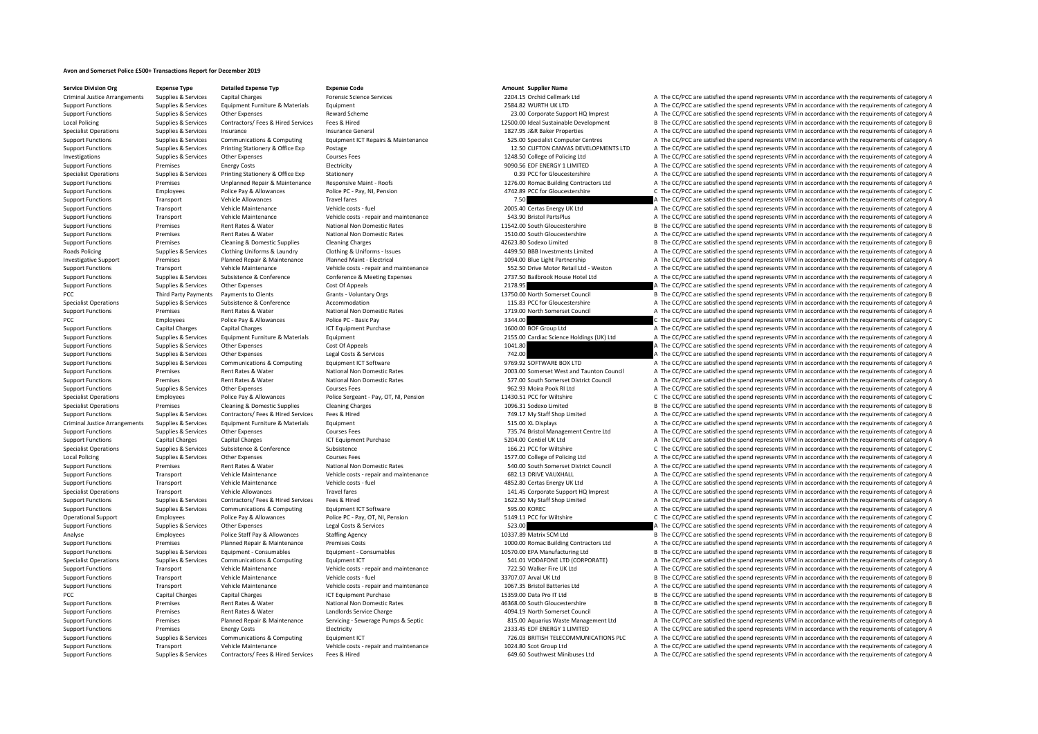## **Avon and Somerset Police £500+ Transactions Report for December 2019**

**Service Division Org Expense Type Detailed Expense Typ Expense Code Amount Supplier Name**

Criminal Justice Arrangements Supplies & Services Capital Charges Category A The Criminal Justice Arrangements Supplies A The CC/PC are satisfied the spend represents VFM in accordance with the requirements of category A T Support Functions Supplies & Services Equipment Furniture & Materials Equipment 2584.82 WURTH UK LTD A The CC/PCC are satisfied the spend represents VFM in accordance with the requirements of category A Support Functions Supplies & Services Other Expenses Reward Scheme 23.00 Corporate Support HQ Imprest A The CC/PCC are satisfied the spend represents VFM in accordance with the requirements of category A The Critical Papel Local Policing Supplies Supplies & Services Contractors/ Fees & Hired Services Fees & Hired 12500.00 Ideal Sustainable Development B The CC/PCC are satisfied the spend represents VFM in accordance with the requirements of Supplies & Services Insurance Insurance Insurance General 1827.95 J&R Baker Properties A The CC/PCC are satisfied the spend represents VFM in accordance with the requirements of category A Support Functions Support Support Communications & Computing Equipment ICT Repairs & Maintenance 525.00 Specialist Computer Centres A The CC/PCC are satisfied the spend represents VFM in accordance with the requirements of Support Functions Supplies & Services Printing Stationery & Office Exp Postage 12.50 CLIFTON CANVAS DEVELOPMENTS LTD A The CC/PCC are satisfied the spend represents VFM in accordance with the requirements of category A Investigations Supplies & Services Other Expenses Courses Fees Courses Fees 1248.50 College of Policing Ltd A The CC/PCC are satisfied the spend represents VFM in accordance with the requirements of category A The Critical Support Functions Premises Energy Costs Supported Electricity 9090.56 EDF ENERGY 1 LIMITED A The CC/PCC are satisfied the spend represents VFM in accordance with the requirements of category A Specialist Operations Supplies & Services Printing Stationery & Office Exp Stationery exp Stationery and Stationery and Stationery and Departments of category A The CC/PCC are satisfied the spend represents VFM in accordan Support Functions Premises Unplanned Repair & Maintenance Responsive Maint - Roofs 1276.00 Romac Building Contractors Ltd A The CC/PCC are satisfied the spend represents VFM in accordance with the requirements of category Support Functions Employees Police Pay & Allowances Police PC - Pay, NI, Pension 4742.89 PCC for Gloucestershire C The CC/PCC are satisfied the spend represents VFM in accordance with the requirements of category C Support Functions Transport Vehicle Allowances Travel fares Travel fares Travel fares Travel fares Travel fares Travel fares and the company and the CC/PCC are satisfied the spend represents VFM in accordance with the requ Support Functions Transport Vehicle Maintenance Vehicle costs ‐ fuel 2005.40 Certas Energy UK Ltd A The CC/PCC are satisfied the spend represents VFM in accordance with the requirements of category A Support Functions Transport Vehicle Maintenance Vehicle costs ‐ repair and maintenance S43.90 Bristol PartsPlus A The CC/PCC are satisfied the spend represents VFM in accordance with the requirements of category A Support Functions Premises Rent Rates & Water National Non Domestic Rates 11542.00 South Gloucestershire B The CC/PCC are satisfied the spend represents VFM in accordance with the requirements of category B Support Functions Premises Rent Rates & Water National Non Domestic Rates National Non Domestic Rates 1510.00 South Gloucestershire A The CC/PCC are satisfied the spend represents VFM in accordance with the requirements of Premises Cleaning & Domestic Supplies Cleaning Charges 42623.80 Sodexo Limited B The CC/PCC are satisfied the spend represents VFM in accordance with the requirements of category B Roads Policing Supplies & Services Clothing Uniforms & Laundry Clothing & Uniforms - Issues adventures and the developments Limited A The CC/PCC are satisfied the spend represents VEM in accordance with the requirements of Investigative Support Premises Planned Repair & Maintenance Planned Maint - Electrical 1094.00 Blue Light Partnership A The CC/PCC are satisfied the spend represents VFM in accordance with the requirements of category A Transport Vehicle Maintenance Vehicle costs - repair and maintenance 552.50 Drive Motor Retail Ltd - Weston A The CC/PCC are satisfied the spend represents VFM in accordance with the requirements of category A Vehicle cost A The CC/PCC are satisfied the spend represents VFM in accordance with the requirements of category A Support Functions Supplies & Services Other Expenses Cost Of Appeals Cost Of Appeals 2178.95 A The CC/PCC are satisfied the spend represents VFM in accordance with the requirements of category A PCC Third Party Payments Payments to Clients Grants Voluntary Orgs 13750.00 North Somerset Council B The CC/PCC are satisfied the spend represents VFM in accordance with the requirements of category B Specialist Operations Supplies & Services Subsistence Subsistence Accommodation Accommodation Accommodation 115.83 PCC for Gloucestershire A The CC/PCC are satisfied the spend represents VFM in accordance with the requirem A The CC/PCC are satisfied the spend represents VFM in accordance with the requirements of category A PCC EMPLOYERS POLICE PAY & Allowances Police PC - Basic Pay 3344.00 C The CC/PCC are satisfied the spend represents VFM in accordance with the requirements of category C Support Functions Capital Charges Capital Charges ICT Equipment Purchase 1600.00 BOF Group Ltd A The CC/PCC are satisfied the spend represents VFM in accordance with the requirements of category A Support Functions Supplies & Services Equipment Furniture & Materials Equipment Equipment Equipment Equipment Equipment Equipment and the CC/PC are satisfied the spend represents VFM in accordance with the requirements of Support Functions Supplies & Services Other Expenses Cost Of Appeals 1041.80 A The CC/PCC are satisfied the spend represents VFM in accordance with the requirements of category A Support Functions Supplies & Services Other Expenses Legal Costs & Services Legal Costs & Services Legal Costs & Services 742.00 A The CC/PCC are satisfied the spend represents VFM in accordance with the requirements of ca Support Functions Supplies & Services Communications & Computing Equipment ICT Software examples and the Support The CC/PCC are satisfied the spend represents VFM in accordance with the requirements of category A The Crimi Support Functions Premises Rent Rates & Water National Non Domestic Rates 2003.00 Somerset West and Taunton Council A The CC/PCC are satisfied the spend represents VFM in accordance with the requirements of category A Support Functions Premises Rent Rates & Water National Non Domestic Rates ST7.00 South Somerset District Council A The CC/PCC are satisfied the spend represents VFM in accordance with the requirements of category A Support Functions Supplies & Services Other Expenses Courses Fees Courses Fees Courses Fees Courses Fees Courses Fees Courses Fees 962.93 Moira Pook RI Ltd A The CC/PCC are satisfied the spend represents VFM in accordance Specialist Operations Employees Police Pay & Allowances Police Sergeant - Pay, OT, NI, Pension 11430.51 PCC for Wiltshire C The CC/PCC are satisfied the spend represents VFM in accordance with the requirements of category Specialist Operations Premises Cleaning & Domestic Supplies Cleaning Charges Cleaning Charges 1096.31 Sodexo Limited B The CC/PCC are satisfied the spend represents VFM in accordance with the requirements of category B Support Functions Supplies & Services Contractors/ Fees & Hired Services Fees & Hired Services Fees & Hired 749.17 My Staff Shop Limited A The CC/PCC are satisfied the spend represents VFM in accordance with the requiremen Criminal Tustice Arrangements Supplies Arrangement Centre Itd Arrangement Centre Arrangement Centre Arrangement Centre Arrangement Centre Itd A The CC/PCC are satisfied the spend represents VFM in accordance with the requi Support Functions Supplies & Services Other Expenses Courses Fees 735.74 Bristol Management Centre Ltd A The CC/PCC are satisfied the spend represents VFM in accordance with the requirements of category A Support Functions Capital Charges Capital Charges ICT Equipment Purchase ICT Equipment Purchase 5204.00 Centiel UK Ltd A The CC/PCC are satisfied the spend represents VFM in accordance with the requirements of category A Specialist Operations Supplies & Services Subsistence Subsistence Subsistence Subsistence Subsistence Subsistence Subsistence C Subsistence Subsistence Subsistence Subsistence Subsistence Subsistence Subsistence Courses Fe Courses Fees **A The CC/PCC are satisfied the spend represents VFM** in accordance with the requirements of category A Support Functions Premises Rent Rates & Water National Non Domestic Rates SA0.00 South Somerset District Council A The CC/PCC are satisfied the spend represents VFM in accordance with the requirements of category A Support Functions Transport Vehicle Maintenance Vehicle costs - repair and maintenance Vehicle costs - repair and maintenance vehicle costs - fuel a the CC/PCC are satisfied the spend represents VFM in accordance with the Support Functions Transport Vehicle Maintenance Vehicle costs ‐ fuel 4852.80 Certas Energy UK Itd A The CC/PCC are satisfied the spend represents VFM in accordance with the requirements of category A Specialist Operations Transport Vehicle Allowances Travel fares Travel fares Travel fares Travel fares and the spend the spend represents of category A The CC/PCC are satisfied the spend represents VFM in accordance with t Support Functions Supplies & Services Contractors/ Fees & Hired Services Fees & Hired 1622.50 My Staff Shop Limited A The CC/PCC are satisfied the spend represents VFM in accordance with the requirements of category A Support Functions Supplies & Services Communications & Computing Equipment ICT Software Equipment ICT Software 595.00 KOREC Support COREC A The CC/PCC are satisfied the spend represents VFM in accordance with the requireme Operational Support Fundoves Police Pay & Allowances Police PC - Pay, OT, NI, Pension 5149.11 PCC for Wiltshire C The CC/PCC are satisfied the spend represents VFM in accordance with the requirements of category C Support Functions Supplies & Services Other Expenses Legal Costs & Services Services 523.00 A The CC/PCC are satisfied the spend represents VFM in accordance with the requirements of category A Analyse Employees Police Staff Pay & Allowances Staffing Agency 10337.89 Matrix SCM Ltd B The CC/PCC are satisfied the spend represents VFM in accordance with the requirements of category B Support Functions Premises Planned Repair & Maintenance Premises Costs 1000.00 Romac Building Contractors Ltd A The CC/PCC are satisfied the spend represents VFM in accordance with the requirements of category A Support Fu Support Functions Supplies & Services Faujoment • Consumables Equipment • Consumables Equipment • Consumables Consumables Consumables 10570.00 FPA Manufacturing Itd B The CC/PCC are satisfied the spend represents VFM in ac Specialist Operations Supplies & Services Communications & Computing Equipment ICT Equipment ICT Equipment ICT<br>Support Functions Support of the Computing and Vehicle Maintenance Vehicle costs repair and maintenance vith th Support Transport Vehicle Maintenance Vehicle costs ‐ repair and maintenance Transport 722.50 Walker Fire UK Ltd A The CC/PCC are satisfied the spend represents VFM in accordance with the requirements of category A The Sup Support Functions Transport Vehicle Maintenance Vehicle costs ‐ fuel Vehicle costs ‐ fuel 33707.07 Arval UK Ltd B The CC/PCC are satisfied the spend represents VFM in accordance with the requirements of category B Support Functions Transport Vehicle Maintenance Vehicle costs - repair and maintenance 1067.35 Bristol Batteries Ltd A The CC/PCC are satisfied the spend represents VFM in accordance with the requirements of category A PCC Capital Charges Capital Charges Capital Charges ICT Equipment Purchase 15359.00 Data Pro IT Ltd B The CC/PCC are satisfied the spend represents VFM in accordance with the requirements of category B Support Functions Premises Rent Rates & Water National Non Domestic Rates 46368.00 South Gloucestershire B The CC/PCC are satisfied the spend represents VFM in accordance with the requirements of category B Support Functions Premises Rent Rates & Water Landlords Service Charge Landlords Service Charge 4094.19 North Somerset Council A The CC/PCC are satisfied the spend represents VFM in accordance with the requirements of cate Premises Planned Repair & Maintenance Servicing - Severage Pumps & Septic Septic and Buranic Waste Management Ltd A The CC/PCC are satisfied the spend represents VFM in accordance with the requirements of category A Electr A The CC/PCC are satisfied the spend represents VFM in accordance with the requirements of category A Support Functions Supplies & Services Communications & Computing Faultoment ICT 726.03 BRITISH TELECOMMUNICATIONS PLC A The CC/PCC are satisfied the spend represents VFM in accordance with the requirements of category A Support Functions Transport Vehicle Maintenance Vehicle costs ‐ repair and maintenance 1024.80 Scot Group Ltd A The CC/PCC are satisfied the spend represents VFM in accordance with the requirements of category A Support Functions Supplies & Services Contractors/ Fees & Hired Services Fees & Hired 649.60 Southwest Minibuses Ltd A The CC/PCC are satisfied the spend represents VFM in accordance with the requirements of category A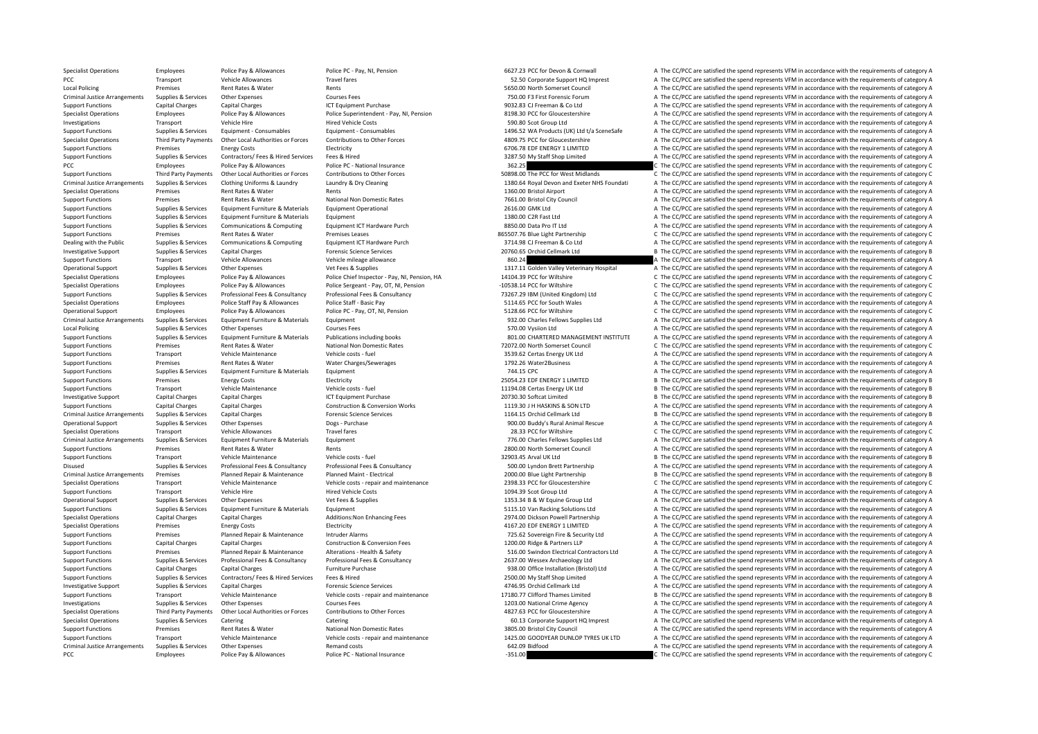Specialist Operations Employees Police Pay & Allowances Police PC - Pay, NI, Pension 6627.23 PCC for Devon & Cornwall A The CC/PCC are satisfied the spend represents VFM in accordance with the requirements of category A PCC Transport Vehicle Allowances Travel fares Travel fares and the spend to the S2.50 Corporate Support HQ Imprest A The CC/PCC are satisfied the spend represents VFM in accordance with the requirements of category A Local Policing Premises Premises Rent Rates & Water Rents Rents Rents Rents Rents Rents Rents Rents Rents Rents Rents Rents Rents Rents Rents Rents Rents Rents Rents Rents Rents Rents Rents Rents Rents Supplements A The CC Criminal Justice Arrangements Supplies & Services Other Expenses Courses Fees Courses Fees 750.00 F3 First Forensic Forum A The CC/PCC are satisfied the spend represents VFM in accordance with the requirements of category Capital Charges Capital Charges ICT Equipment Purchase Capital Charges ICT Equipment Purchase Purchase A The CC/PCC are satisfied the spend represents VFM in accordance with the requirements of category A Specialist Operations Employees Police Pay & Allowances Police Superintendent - Pay, NI, Pension 8198.30 PCC for Gloucestershire A The CC/PCC are satisfied the spend represents VFM in accordance with the requirements of ca Investigations Transport Vehicle Hire Hired Vehicle Costs Hired Vehicle Costs Hired Vehicle Costs Hired Vehicle Costs 590.80 Scot Group Ltd A The CC/PCC are satisfied the spend represents VFM in accordance with the require Supplies & Services Foujoment - Consumables Foujoment - Consumables Foujoment - Consumables Foujoment - Consumables Consumables Consumables and the CONSULT A The CC/PCC are satisfied the spend represents VEM in accordance Specialist Operations Third Party Payments Other Local Authorities or Forces Contributions to Other Forces Contributions to Other Forces and the section of Gloucestershire A The CC/PCC are satisfied the spend represents VF Support Functions Premises Energy Costs Functions Electricity and the Energy Costs Electricity 6706.78 EDF ENERGY 1 LIMITED A The CC/PCC are satisfied the spend represents VFM in accordance with the requirements of categor Support Functions Supplies & Services Contractors/ Fees & Hired Services Fees & Hired 3287.50 My Staff Shop Limited A The CC/PCC are satisfied the spend represents VFM in accordance with the requirements of category A PCC Employees Police Pay & Allowances Police PC • National Insurance 362.25 362.25 C The CC/PCC are satisfied the spend represents VFM in accordance with the requirements of category C Support Functions Third Party Payments Other Local Authorities or Forces Contributions to Other Forces Contributions to Other Forces 50898.00 The PCC for West Midlands C The CC/PCC are satisfied the spend represents VFM in Criminal Justice Arrangements Sunnlies & Services Clothing Uniforms & Laundry Laundry & Drv Cleaning Criminal Devon and Exerce NHS Foundati A The CC/PCC are satisfied the spend represents VEM in accordance with the require Specialist Operations Premises Rent Rates & Water Rents 1360.00 Bristol Airport A The CC/PCC are satisfied the spend represents VFM in accordance with the requirements of category A Support Functions Premises Rent Rates & Water National Non Domestic Rates 7661.00 Bristol City Council A The CC/PCC are satisfied the spend represents VFM in accordance with the requirements of category A Support Functions Supplies & Services Equipment Furniture & Materials Equipment Operational Equipment Operational 2616.00 GMK Ltd A The CC/PCC are satisfied the spend represents VFM in accordance with the requirements of c Support Functions Supplies & Services Foujoment Furniture & Materials Foujoment 1380.00 C2R Fast Ltd A The CC/PCC are satisfied the spend represents VFM in accordance with the requirements of category A Support Functions Supplies & Services Communications & Computing Equipment ICT Hardware Purch 8850.00 Data Pro IT Ltd A The CC/PCC are satisfied the spend represents VFM in accordance with the requirements of category A Support Functions Premises Premises Rent Rates & Water Premises Leases Premises Leases 865507.76 Blue Light Partnership C The CC/PCC are satisfied the spend represents VFM in accordance with the requirements of category C 3714.98 CJ Freeman & Co Ltd<br>A The CC/PCC are satisfied the spend represents VFM in accordance with the requirements of category A<br>20260 65 Orchid Callmark Ltd Investigative Support Supplies & Services Capital Charges Forensic Science Services Forensic Science Services 20760.65 Orchid Cellmark Ltd B The CC/PCC are satisfied the spend represents VFM in accordance with the requirem Support Functions Transport Vehicle Allowances Vehicle mileage allowance Vehicle mileage allowance Vehicle mileage allowance 860.24 A The CC/PCC are satisfied the spend represents VFM in accordance with the requirements of Operational Support Supplies & Services Other Expenses Vet Fees & Supplies Vet Fees & Supplies Vet Fees & Supplies Vet Frees A Supplies 1317.11 Golden Valley Veterinary Hospital A The CC/PCC are satisfied the spend represe C The CC/PCC are satisfied the spend represents VFM in accordance with the requirements of category C Specialist Operations Employees Police Pay & Allowances Police Sergeant - Pay, OT, NI, Pension – 10538.14 PCC for Wiltshire C The CC/PCC are satisfied the spend represents VFM in accordance with the requirements of categor Support Functions Supplies & Services Professional Fees & Consultancy Professional Fees & Consultancy Professional Fees & Consultancy Professional Fees & Consultancy Professional Fees & Consultancy Professional Fees & Cons Specialist Operations Employees Police Staff Pay & Allowances Police Staff - Basic Pay Bolice Staff - Basic Pay<br>A The CC/PCC are satisfied the spend represents VFM in accordance with the requirements of category C<br>C The CC Employees Police Pay & Allowances Police PC - Pay, OT, NI, Pension 5128.66 PCC for Wiltshire C The CC/PCC are satisfied the spend represents VFM in accordance with the requirements of category C Criminal Justice Arrangements Supplies & Services Equipment Furniture & Materials Equipment Europe Equipment Europe Equipment Europe Equipment and the CCV 932.00 Charles Fellows Supplies Ltd A The CC/PCC are satisfied the Local Policing Supplies Services Other Expenses Courses Fees Courses Fees Supplies A The CC/PCC are satisfied the spend represents VFM in accordance with the requirements of category A The COC are stisfied the spend repres Support Functions Supplies & Services Equipment Furniture & Materials Publications including books and a soll.00 CHARTERED MANAGEMENT INSTITUTE A The CC/PCC are satisfied the spend represents VFM in accordance with the req C The CC/PCC are satisfied the spend represents VFM in accordance with the requirements of category C Support Functions Transport Vehicle Maintenance Vehicle costs – fuel Vehicle costs fuel Vehicle costs fuel vehicle costs fuel and the Support Category A The CC/PCC are satisfied the spend represents VFM in accordance with Support Functions Premises Rent Rates & Water Water Water Charges/Sewerages 1792.26 Water 2003/26 Water2Business A The CC/PCC are satisfied the spend represents VFM in accordance with the requirements of category A Support Functions Supplies & Services Equipment Eurniture & Materials Equipment Equipment The Support The CONCOLL 25054.23 EDF ENERGY 1 LIMITED A The CC/PCC are satisfied the spend represents VFM in accordance with the req Support Functions Premises Energy Costs Electricity Electricity and Electricity 25054.23 EDF ENERGY 1 LIMITED B The CC/PCC are satisfied the spend represents VFM in accordance with the requirements of category B Support Functions Transport Vehicle Maintenance Vehicle costs – fuel Vehicle Costs – fuel 1194.08 Certas Energy UK Ltd B The CC/PCC are satisfied the spend represents VFM in accordance with the requirements of category B I Investigative Support Capital Charges Capital Charges Capital Charges ICT Equipment Purchase 20730.30 Softcat Limited 20730.30 Softcat Limited B The CC/PCC are satisfied the spend represents VFM in accordance with the requ Support Functions Capital Charges Capital Charges Capital Charges Capital Charges Construction & Conversion Works Conversion Works 1119.30 J H HASKINS & SON LTD A The CC/PCC are satisfied the spend represents VFM in accord Criminal Justice Arrangements Supplies & Services Capital Charges Capital Charges Forensic Science Services 1164.15 Orchid Cellmark Ltd B The CC/PCC are satisfied the spend represents VFM in accordance with the requirement Opplies & Services Other Expenses 2013 Dogs - Purchase Dogs - Purchase Dogs - Purchase 900.00 Buddy's Rural Animal Rescue A The CC/PCC are satisfied the spend represents VFM in accordance with the requirements of category Specialist Operations Transport Vehicle Allowances Travel fares 28.33 PCC for Wiltshire 28.33 PCC for Wiltshire C The CC/PCC are satisfied the spend represents VFM in accordance with the requirements of category C Criminal Justice Arrangements Supplies & Services Equipment Furniture & Materials Equipment Europe Equipment Europe Equipment Europe Equipment and the CC of the CC/PCC are satisfied the spend represents VFM in accordance w Support Functions Premises Rent Rates & Water Rents Rents Rents Rents Rents Rents Rents Rents Rents Rents Rents Rents Rents Rents Rents Rents Rents Rents Rents Rents Rents Rents Rents 2800.00 North Somerset Council A The C Transport Vehicle Maintenance Vehicle costs ‐ fuel 32903.45 Arval UK Ltd B The CC/PCC are satisfied the spend represents VFM in accordance with the requirements of category B Supplies & Services Professional Fees & Consultancy Professional Fees & Consultancy Professional Fees & Consultancy Professional Fees & Consultancy Professional Fees & Consultancy Materota Seconda Service and SOO.00 Lyndon Criminal Justice Arrangements Premises Planned Repair & Maintenance Planned Maint-Electrical Planned Maint-Electrical 2000.00 Blue Light Partnership B The CC/PCC are satisfied the spend represents VFM in accordance with th Specialist Operations Transport Vehicle Maintenance Vehicle costs ‐ repair and maintenance 2398.33 PCC for Gloucestershire C The CC/PCC are satisfied the spend represents VFM in accordance with the requirements of category Support Functions Transport Vehicle Hire Hire Hired Vehicle Costs Hired Vehicle Costs and A The CC/PCC are satisfied the spend represents VFM in accordance with the requirements of category A Operational Support Supplies & Services Other Expenses Vet Fees & Supplies Vet Fees & Supplies 1353.34 B & W Equine Group Ltd A The CC/PCC are satisfied the spend represents VFM in accordance with the requirements of categ Support Functions Supplies & Services Equipment Furniture & Materials Equipment Equipment Equipment Equipment Support and the CC/PCC are satisfied the spend represents VFM in accordance with the requirements of category A Specialist Operations Capital Charges Capital Charges Capital Charges Additions:Non Enhancing Fees 2974.00 Dickson Powell Partnership A The CC/PCC are satisfied the spend represents VFM in accordance with the requirements Specialist Operations Premises Energy Costs Electricity Electricity A The CCRCC are satisfied the spend represents VFM in accordance with the requirements of category A Support Functions Premises Planned Repair & Maintenance Intruder Alarms 1001 and a The CONCC are satisfied the spend represents VFM in accordance with the requirements of category A The CC/PCC are satisfied the spend repre Support Functions Capital Charges Capital Charges Construction & Conversion Fees 1200.00 Ridge & Partners LLP A The CC/PCC are satisfied the spend represents VFM in accordance with the requirements of category A Support Functions Premises Premises Planned Renair & Maintenance Alterations - Health & Safety 516.00 Swindon Flectrical Contractors Itd A The CC/PCC are satisfied the spend represents VEM in accordance with the requiremen Support Functions Supplies & Services Professional Fees & Consultancy Professional Fees & Consultancy Professional Fees & Consultancy Professional Fees & Consultancy Professional Fees & Consultancy 2637.00 Wessex Archaeolo Support Functions Capital Charges Capital Charges Capital Charges Furniture Purchase Functione Purchase 938.00 Office Installation (Bristol) Ltd A The CC/PCC are satisfied the spend represents VFM in accordance with the re Support Functions Supplies & Services Contractors/ Fees & Hired Services Fees & Hired 2500.00 My Staff Shop Limited A The CC/PCC are satisfied the spend represents VFM in accordance with the requirements of category A Investigative Support Supplies & Services Capital Charges Forensic Science Services Forensic Science Services A The CC/PCC are satisfied the spend represents VFM in accordance with the requirements of category A The CC/PCC Support Functions Transport Vehicle Maintenance Vehicle costs ‐ repair and maintenance 17180.77 Clifford Thames Limited B The CC/PCC are satisfied the spend represents VFM in accordance with the requirements of category B Investigations Supplies & Services Other Expenses Courses Fees Courses Fees Courses Fees 1203.00 National Crime Agency A The CC/PCC are satisfied the spend represents VFM in accordance with the requirements of category A T Third Party Payments Other Incal Authorities or Forces Contributions to Other Forces and the serve that any statements of calculate the space of contributions to Other Forces and the serve and the COPCC are satisfied the s Specialist Operations Supplies & Services Catering Catering Catering Catering Catering Catering Catering Catering Catering Catering Catering Catering Catering and the Support HQ Imprest A The CC/PCC are satisfied the spend Support Functions Premises Arm Arm Premises Arm Premises Arm Premises Arm Premises Arm Domestic Rates 3805.00<br>1997 A The CC/PCC are satisfied the spend represents VFM in accordance with the requirements of category A Support Functions Transport Vehicle Maintenance Vehicle Costs - renair and maintenance Vehicle Costs - renair and maintenance 1425.00 GOODYFAR DUNI OP TYRES UK LTD A The CC/PCC are satisfied the spend represents VEM in acc Criminal Justice Arrangements Supplies & Services Other Expenses Remand costs 642.09 Bidfood 642.09 Bidfood A The CC/PCC are satisfied the spend represents VFM in accordance with the requirements of category A PCC EMPLOYERS POLICE PAY & Allowances Police PC - National Insurance **Folice PC - National Insurance** Police PC - National Insurance **351.00** C The CC/PCC are satisfied the spend represents VFM in accordance with the requi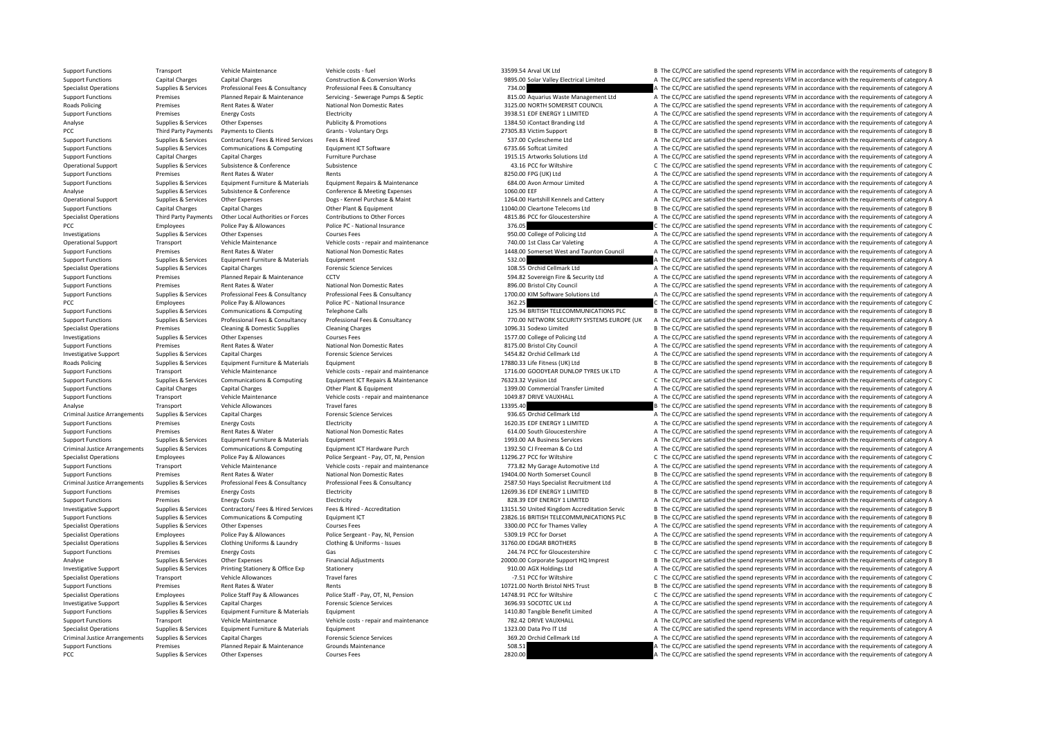Support Functions Transport Vehicle Maintenance Vehicle costs – fuel vehicle costs – fuel 33599.54 Arval UK Ltd B The CC/PCC are satisfied the spend represents VFM in accordance with the requirements of category B Support Functions Capital Charges Capital Charges Construction & Conversion Works 9895.00 Solar Valley Electrical Limited A The CC/PCC are satisfied the spend represents VFM in accordance with the requirements of category Specialist Operations Supplies & Services Professional Fees & Consultancy Professional Fees & Consultancy Professional Fees & Consultancy Consultancy 734.00 A The CC/PCC are satisfied the spend represents VFM in accordance Premises Planned Repair & Maintenance Servicing - Severage Pumps & Septic and a strangement the sequality of the CC/PCC are satisfied the spend represents VFM in accordance with the requirements of category A Reads Policin Roads Policing Premises Rent Rates & Water National Non Domestic Rates 3125.00 NORTH SOMERSET COUNCIL A The CC/PCC are satisfied the spend represents VFM in accordance with the requirements of category A Support Functions Premises Energy Costs Electricity and the Energy Costs Electricity and the Support of the Support of the CC/PCC are satisfied the spend represents VFM in accordance with the requirements of category A Analyse Supplies & Services Other Expenses Analyticity & Promotions Publicity & Promotions Publicity & Promotions 1384.50 iContact Branding Ltd A The CC/PCC are satisfied the spend represents VFM in accordance with the req PCC Third Party Payments Payments to Clients Grants Voluntary Orgs 27305.83 Victim Support B The CC/PCC are satisfied the spend represents VFM in accordance with the requirements of category B Support Functions Supplies & Services Contractors/ Fees & Hired Services Fees & Hired Services Fees & Hired 537.00 Cyclescheme Ltd A The CC/PCC are satisfied the spend represents VFM in accordance with the requirements of Support Functions Supplies & Services Communications & Computing Faultoment ICT Software 6735.66 Softcat Limited A The CC/PCC are satisfied the spend represents VFM in accordance with the requirements of category A Support Functions Capital Charges Capital Charges Capital Charges Furniture Purchase Furniture Purchase 1915.15 Artworks Solutions Ltd A The CC/PCC are satisfied the spend represents VFM in accordance with the requirements Operational Support Support Support Subsistence Subsistence Subsistence Subsistence and a spend and a service of the CC/PC are satisfied the spend represents VFM in accordance with the requirements of category C Subsistenc Support Functions Premises Rent Rates & Water Rents 8250.00 FPG (UK) Ltd A The CC/PCC are satisfied the spend represents VFM in accordance with the requirements of category A Supplies & Services Foujoment Furniture & Materials Foujoment Renairs & Maintenance 684.00 Avon Armour Limited A The CC/PCC are satisfied the spend represents VEM in accordance with the requirements of category A Analyse Supplies & Services Subsistence & Conference Conference & Meeting Expenses 1060.00 EEF A The CC/PCC are satisfied the spend represents VFM in accordance with the requirements of category A Operational Support Supplies & Services Other Expenses Dogs - Kennel Purchase & Maint 1264.00 Hartshill Kennels and Cattery A The CC/PCC are satisfied the spend represents VFM in accordance with the requirements of categor Support Functions Capital Charges Capital Charges Content Other Plant & Equipment 11040.00 Cleartone Telecoms Ltd B The CC/PCC are satisfied the spend represents VFM in accordance with the requirements of category B Specialist Operations Third Party Payments Other Local Authorities or Forces Contributions to Other Forces Content Content Dubber Forces and the CO for Gloucestershire A The CC/PCC are satisfied the spend represents VFM in PCC Employees Police Pay & Allowances Police PC - National Insurance 376.05 376.05 C The CC/PCC are satisfied the spend represents VFM in accordance with the requirements of category C Investigations Supplies & Services Other Expenses Courses Fees Courses Fees Courses Fees Courses Fees Courses Fees Courses Fees and maintenance and the Service of Policing Ltd A The CC/PCC are satisfied the spend represent Operational Support Transport Transport Maintenance Vehicle Maintenance Vehicle Maintenance Vehicle A The CC/PCC are satisfied the spend represents VFM in accordance with the requirements of category A The CC/PCC are satis Support Functions Premises Rent Rates & Water National Non Domestic Rates 1448.00 Somerset West and Taunton Council A The CC/PCC are satisfied the spend represents VFM in accordance with the requirements of category A Support Functions Supplies & Services Equipment Furniture & Materials Equipment Equipment Support of the Same of the Same of the CC/PCC are satisfied the spend represents VFM in accordance with the requirements of category Specialist Operations Supplies & Services Capital Charges Category A The Compare of Carges Capital Cellmark Ltd A The CC/PCC are satisfied the spend represents VFM in accordance with the requirements of category A The CC/P A The CC/PCC are satisfied the spend represents VFM in accordance with the requirements of category A Support Functions Premises Rent Rates & Water National Non Domestic Rates 896.00 Bristol City Council A The CC/PCC are satisfied the spend represents VFM in accordance with the requirements of category A Support Functions Supporters Professional Fees & Consultancy Professional Fees & Consultancy Professional Fees & Consultancy Professional Fees & Consultancy Consultancy 1700.00 KIM Software Solutions Ltd A The CC/PCC are s PCC POLICE PAY Allowances Police Pay & Allowances Police PC - National Insurance 362.25 C The CC/PCC are satisfied the spend represents VFM in accordance with the requirements of category C<br>Support Functions Supplies & Ser B The CC/PCC are satisfied the spend represents VFM in accordance with the requirements of category B Support Functions Supplies & Services Professional Fees & Consultancy Professional Fees & Consultancy Professional Fees & Consultancy Professional Fees & Consultancy Professional Fees & Consultancy Matery and The CC/PCC ar Specialist Operations Premises Cleaning & Domestic Supplies Cleaning Charges 1096.31 Sodexo Limited B The CC/PCC are satisfied the spend represents VFM in accordance with the requirements of category B Investigations Supplies & Services Other Expenses Courses Fees Courses Fees Courses Fees 1577.00 College of Policing Ltd A The CC/PCC are satisfied the spend represents VFM in accordance with the requirements of category A A The CC/PCC are satisfied the spend represents VFM in accordance with the requirements of category A Investigative Support Supplies & Services Capital Charges Capital Charges Forensic Science Services 5454.82 Orchid Cellmark Ltd A The CC/PCC are satisfied the spend represents VFM in accordance with the requirements of cat Supplies & Services Equipment Furniture & Materials Equipment 17880.33 Life Fitness (UK) Ltd B The CC/PCC are satisfied the spend represents VFM in accordance with the requirements of category B Support Functions Transport Vehicle Maintenance Vehicle costs - repair and maintenance Vehicle costs - repair and maintenance Vehicle costs - repair and maintenance 1716.00 GOODYEAR DUNLOP TYRES UK LTD A The CC/PCC are sat Support Functions Supplies & Services Communications & Computing Equipment ICT Repairs & Maintenance 76323.32 Vysiion Ltd C The CC/PCC are satisfied the spend represents VFM in accordance with the requirements of category Support Functions Capital Charges Capital Charges Capital Charges Capital Charges Capital Charges Capital Charges Capital Charges Other Plant & Equipment Other Plant & Equipment 1399.00 Commercial Transfer Limited A The CC Support Functions Transport Vehicle Maintenance Vehicle costs ‐ repair and maintenance 1049.87 DRIVE VAUXHALL A The CC/PCC are satisfied the spend represents VFM in accordance with the requirements of category A Analyse Transport Vehicle Allowances Travel fares Travel fares Travel fares and the sport of the CC/PCC are satisfied the spend represents VFM in accordance with the requirements of category B The CC/PCC are satisfied the Criminal Justice Arrangements Supplies & Services Capital Charges Capital Charges Forensic Science Services 9<br>
Forensic Science Services A The CC/DCC are satisfied the spend represents VFM in accordance with the requiremen Functions Premises Energy Costs Electricity Electricity 1620.35 EDF ENERGY 1 LIMITED A The CC/PCC are satisfied the spend represents VFM in accordance with the requirements of category A Support Functions Premises Rent Rates & Water National Non Domestic Rates 614.00 South Gloucestershire A The CC/PCC are satisfied the spend represents VFM in accordance with the requirements of category A Support Functions Supplies & Services Equipment Furniture & Materials Equipment Equipment 1993.00 AA Business Services A The CC/PCC are satisfied the spend represents VFM in accordance with the requirements of category A Criminal Justice Arrangements Supplies & Services Communications & Computing Equipment ICT Hardware Purch 1392.50 CLM and A Specialist Criminal Justice Arrangements VFM in accordance with the requirements of category A Pol Specialist Operations Employees Police Pay & Allowances Police Sergeant - Pay, OT, NI, Pension 11296.27 PCC for Wiltshire C The CC/PCC are satisfied the spend represents VFM in accordance with the requirements of category Support Functions Transport Vehicle Maintenance Vehicle costs ‐ repair and maintenance 773.82 My Garage Automotive Ltd A The CC/PCC are satisfied the spend represents VFM in accordance with the requirements of category A Support Functions Premises Premises Rent Rates & Water National Non Domestic Rates National Non Domestic Rates 19404.00 North Somerset Council B The CC/PCC are satisfied the spend represents VFM in accordance with the requ Criminal Justice Arrangements Sunnlies & Services Professional Fees & Consultancy Professional Fees & Consultancy Professional Fees & Consultancy Professional Fees & Consultancy Professional Fees & Consultancy Professional Support Functions Premises Energy Costs Electricity Electricity and the Electricity and the spend represents VFM in accordance with the requirements of category B The CC/PCC are satisfied the spend represents VFM in accord Support Functions Premises Energy Costs Electricity Electricity and the Sample and the Sample of the CC/PCC are satisfied the spend represents VFM in accordance with the requirements of category A Supplies & Services Contractors/Fees & Hired Services Fees & Hired - Accreditation and the magnetic magnetic of the CC/PCC are satisfied the spend represents VFM in accordance with the requirements of category B<br>Supplied S Support Functions Supplies & Services Communications & Computing Fouldment ICT 23826.16 BRITISH TELECOMMUNICATIONS PLC B The CC/PCC are satisfied the spend represents VFM in accordance with the requirements of category B Specialist Operations Supplies & Services Other Expenses 2000 Courses Fees 2000 Courses Fees 3300.00 PCC for Thames Valley A The CC/PCC are satisfied the spend represents VFM in accordance with the requirements of category Specialist Operations Employees Police Pay & Allowances Police Sergeant - Pay, NI, Pension 5309.19 PCC for Dorset A The CC/PCC are satisfied the spend represents VFM in accordance with the requirements of category A The Co Specialist Operations Supplies & Services Clothing Uniforms & Laundry Clothing & Uniforms – Issues 31760.00 EDGAR BROTHERS B The CC/PCC are satisfied the spend represents VFM in accordance with the requirements of category Support Functions Premises Energy Costs Gas Gas 244.74 PCC for Gloucestershire C The CC/PCC are satisfied the spend represents VFM in accordance with the requirements of category C Analyse Supplies & Services Other Expenses Financial Adjustments Financial Adjustments 20000.00 Corporate Support HQ Imprest B The CC/PCC are satisfied the spend represents VFM in accordance with the requirements of catego Investigative Support Supplies & Services Printing Stationery & Office Exp Stationery Stationery 910.00 AGX Holdings Ltd A The CC/PCC are satisfied the spend represents VFM in accordance with the requirements of category A Specialist Operations Transport Vehicle Allowances Travel fares Travel fares Travel fares Travel fares Travel fares Travel fares Travel fares Travel fares Travel fares Travel fares Travel fares Travel fares Travel fares Tr Support Functions Premises Rent Rates & Water Rents Rents Rents Rent Rents Rent Rents Rents 10721.00 North Bristol NHS Trust B The CC/PCC are satisfied the spend represents VFM in accordance with the requirements of catego Specialist Operations Employees Police Staff Pay & Allowances Police Staff - Pay, OT, NI, Pension 14748.91 PCC for Wiltshire C The CC/PCC are satisfied the spend represents VFM in accordance with the requirements of catego Investigative Support Supplies & Services Capital Charges Category A The Support Services Support Support Support Support Support Support Support Support Support Support Support Support Support Support Support Support Supp Support Functions Supplies & Services Equipment Furniture & Materials Equipment Equipment 1410.80 Tangible Benefit Limited A The CC/PCC are satisfied the spend represents VFM in accordance with the requirements of category Support Functions Transport Vehicle Maintenance Vehicle costs – repair and maintenance 782.42 DRIVE VAUXHALL A The CC/PCC are satisfied the spend represents VFM in accordance with the requirements of category A The CC/PCC Specialist Operations Supplies A. The CC/PCC are satisfied the spend represents VFM in accordance with the requirements of category A The CC/PCC are satisfied the spend represents VFM in accordance with the requirements of Criminal Justice Arrangements Supplies & Services Capital Charges Science Services Science Services 369.20 Orchid Cellmark Ltd A The CC/PCC are satisfied the spend represents VFM in accordance with the requirements of cate Support Functions Premises Planned Repair & Maintenance Grounds Maintenance Support Functions and the CC/PCC are satisfied the spend represents VFM in accordance with the requirements of category A PCC Supplies & Services Other Expenses Courses Fees 2820.00 2820.00 A The CC/PCC are satisfied the spend represents VFM in accordance with the requirements of category A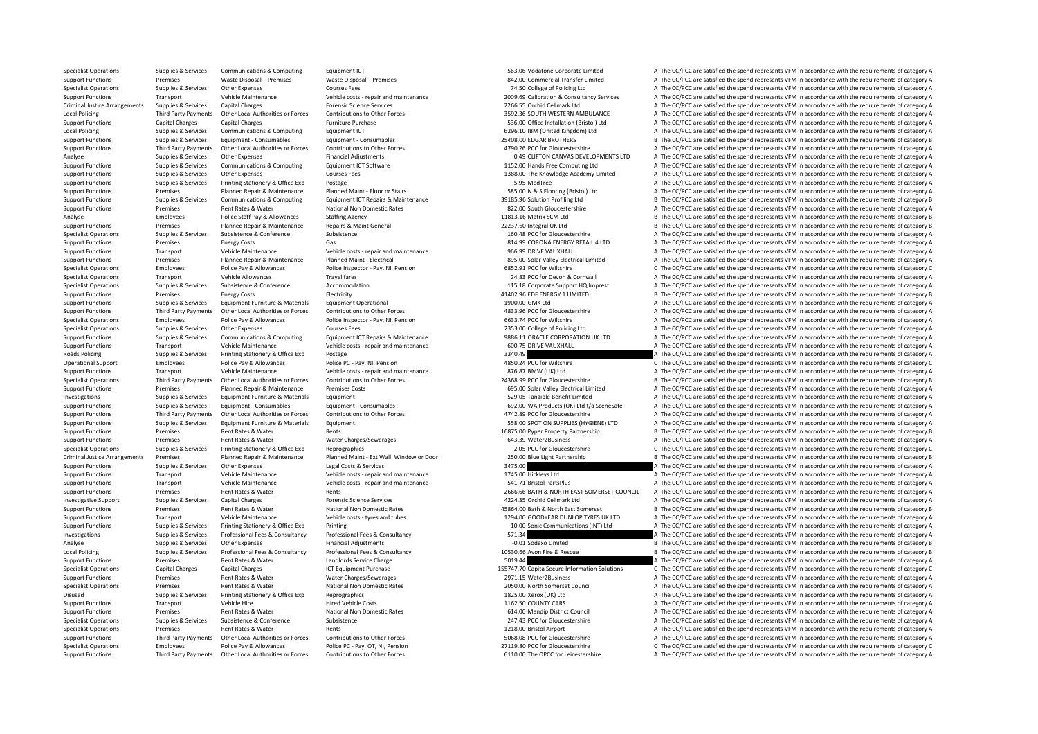Support Functions Third Party Payments Other Local Authorities or Forces Contributions to Other Forces contributions to Other Forces 6110.00 The OPCC for Leicestershire A The CC/PCC are satisfied the spend represents VFM i

Specialist Operations Supplies & Services Communications & Computing Equipment ICT 563.06 Vodafone Corporate Limited A The CC/PCC are satisfied the spend represents VFM in accordance with the requirements of category A Support Functions Premises Waste Disposal – Premises Waste Disposal – Premises Waste Disposal – Premises 842.00 Commercial Transfer Limited A The CC/PCC are satisfied the spend represents VFM in accordance with the require Specialist Operations Supplies & Services Other Expenses Courses Fees Courses Fees Courses Fees 74.50 College of Policing Ltd A The CC/PCC are satisfied the spend represents VFM in accordance with the requirements of categ Transport Vehicle Maintenance Vehicle costs - repair and maintenance 2009.69 Calibration & Consultancy Services A The CC/PCC are satisfied the spend represents VFM in accordance with the requirements of category A Criminal Capital Charges Criminal Supplies Arrangements Supplies Capital Charges Capital Cellmark Ltd A The CC/PCC are satisfied the spend represents VFM in accordance with the requirements of category A Third Party Payments Other Local Authorities or Forces Contributions to Other Forces SALE 3592.36 SOUTH WESTERN AMBULANCE A The CC/PCC are satisfied the spend represents VFM in accordance with the requirements of category Support Functions Capital Charges Capital Charges Furniture Purchase Furniture Purchase 536.00 Office Installation (Bristol) Ltd A The CC/PCC are satisfied the spend represents VFM in accordance with the requirements of ca Local Policing Supplies Services Communications & Computing Faultoment ICT 6296.10 IBM (United Kingdom) Ltd A The CC/PCC are satisfied the spend represents VFM in accordance with the requirements of category A Support Functions Supplies & Services Equipment - Consumables Equipment - Consumables Equipment - Consumables 25408.00 EDGAR BROTHERS B The CC/PCC are satisfied the spend represents VFM in accordance with the requirements Support Functions Third Party Payments Other Local Authorities or Forces Contributions to Other Forces of Contributions to Other Forces of the CAP ACC for Gloucestershire A The CC/PCC are satisfied the spend represents VFM Analyse Supplies & Services Other Expenses Financial Adjustments Financial Adjustments and the content of category A The CC/PCC are satisfied the spend represents VFM in accordance with the requirements of category A Support Functions Supplies & Services Communications & Computing Equipment ICT Software 1152.00 Hands Free Computing Ltd A The CC/PCC are satisfied the spend represents VFM in accordance with the requirements of category A Support Functions Supplies & Services Other Expenses Courses Fees Courses Fees 1388.00 The Knowledge Academy Limited A The CC/PCC are satisfied the spend represents VFM in accordance with the requirements of category A The Support Functions Supplies & Services Printing Stationery & Office Exp Postage Category A The CC/PCC are satisfied the spend represents VFM in accordance with the requirements of category A Support Functions Premises Planned Repair & Maintenance Planned Maint - Floor or Stairs 585.00 N & S Flooring (Bristol) Ltd A The CC/PCC are satisfied the spend represents VFM in accordance with the requirements of categor Support Functions Supplies & Services Communications & Computing Equipment ICT Repairs & Maintenance 39185.96 Solution Profiling Ltd B The CC/PCC are satisfied the spend represents VFM in accordance with the requirements o Support Functions Premises Rent Rates & Water National Non Domestic Rates 822.00 South Gloucestershire A The CC/PCC are satisfied the spend represents VFM in accordance with the requirements of category A Analyse Employees Police Staff Pay & Allowances Staffing Agency 11813.16 Matrix SCM Ltd B The CC/PCC are satisfied the spend represents VFM in accordance with the requirements of category B Support Functions Premises Planned Repair & Maintenance Repairs & Maint General 22237.60 Integral UK Ltd B The CC/PCC are satisfied the spend represents VFM in accordance with the requirements of category B Specialist Operations Supplies & Services Subsistence Subsistence Subsistence Subsistence Subsistence Subsistence Subsistence a Subsistence Subsistence Subsistence Subsistence Subsistence Subsistence and the Conference A T Premises Energy Costs Gas Gas Gas and CORONA ENERGY RETAIL 4 LTD A The CC/PCC are satisfied the spend represents VFM in accordance with the requirements of category A Support Functions Transport Vehicle Maintenance Vehicle costs ‐ repair and maintenance 966.99 DRIVE VAUXHALL A The CC/PCC are satisfied the spend represents VFM in accordance with the requirements of category A Support Functions Premises Planned Repair & Maintenance Planned Maint - Electrical 895.00 Solar Valley Electrical Limited A The CC/PCC are satisfied the spend represents VFM in accordance with the requirements of category Specialist Operations Employees Police Pay & Allowances Police Inspector - Pay, NI, Pension 6852.91 PCC for Wiltshire C The CC/PCC are satisfied the spend represents VFM in accordance with the requirements of category C Th Transport Vehicle Allowances Travel fares Travel fares 24.83 PCC for Devon & Cornwall A The CC/PCC are satisfied the spend represents VFM in accordance with the requirements of category A Specialist Operations Supplies & Services Subsistence  $\alpha$  Accommodation Accommodation 115.18 Corporate Support HO Imprest A The CC/PCC are satisfied the spend represents VFM in accordance with the requirements of category Support Functions Premises Energy Costs Electricity Electricity A1402.96 EDF ENERGY 1 LIMITED B The CC/PCC are satisfied the spend represents VFM in accordance with the requirements of category B Support Functions Supplies & Services Equipment Furniture & Materials Equipment Operational expenditional 1900.00 GMK Ltd 1900.00 GMK Ltd A The CC/PCC are satisfied the spend represents VFM in accordance with the requireme A The CC/PCC are satisfied the spend represents VFM in accordance with the requirements of category A Specialist Operations Employees Police Pay & Allowances Police Inspector - Pay, NI, Pension 6633.74 PCC for Wiltshire A The CC/PCC are satisfied the spend represents VFM in accordance with the requirements of category A Specialist Operations Supplies & Services Other Expenses Courses Fees 2353.00 College of Policing Ltd A The CC/PCC are satisfied the spend represents VFM in accordance with the requirements of category A Support Functions Supplies & Services Communications & Computing Equipment ICT Repairs & Maintenance entity of the Support EQUIPC ACT DESCAL DRACLE CORPORATION ON LITD A The CC/PCC are satisfied the spend represents VFM in A The CC/PCC are satisfied the spend represents VFM in accordance with the requirements of category A Roads Policing Supplies & Services Printing Stationery & Office Exp Postage 3340.49 a Supplies and the CC/PCC are satisfied the spend represents VFM in accordance with the requirements of category A The CC/PC are satisfied Operational Support Fundovers Police Pay & Allowances Police PC ‐ Pay, NI, Pension 4850.24 PCC for Wiltshire C The CC/PCC are satisfied the spend represents VFM in accordance with the requirements of category C Support Functions Transport Vehicle Maintenance Vehicle costs ‐ repair and maintenance 876.87 BMW (UK) Ltd A The CC/PCC are satisfied the spend represents VFM in accordance with the requirements of category A Specialist Onerations Third Party Payments Other I oral Authorities or Forces Contributions to Other Forces 24368.99 PCC for Gloucestershire B The CC/PCC are satisfied the spend represents VFM in accordance with the requir Support Functions Premises Planned Repair & Maintenance Premises Costs 695.00 Solar Valley Electrical Limited A The CC/PCC are satisfied the spend represents VFM in accordance with the requirements of category A The Criter Investigations Supplies & Services Equipment Furniture & Materials Equipment 529.05 Tangible Benefit Limited A The CC/PCC are satisfied the spend represents VFM in accordance with the requirements of category A Supplies & Services Equipment - Consumables Equipment - Consumables Equipment - Consumables Equipment - Consumables Equipment - Consumables Equipment - Consumables Equipment - Consumables 692.00 WA Products (UK) Ltd t/a Sc Support Functions Third Party Payments Other Local Authorities or Forces Contributions to Other Forces and the Support of Consessershire and the CC/PCC are satisfied the spend represents VFM in accordance with the requirem Supplies & Services Equipment Furniture & Materials Equipment Functions Category A Services And SES.00 SPOT ON SUPPLIES (HYGIENE) LTD A The CC/PCC are satisfied the spend represents VFM in accordance with the requirements Support Functions Premises Rent Rates & Water Rents Rents Rents Rents Rents Rents 16875.00 Pyper Property Partnership B The CC/PCC are satisfied the spend represents VFM in accordance with the requirements of category B Support Functions Premises Rent Rates & Water Water Charges/Sewerages **A The CC/PCC are satisfied the spend represents VFM in accordance with the requirements of category A** Specialist Operations Supplies & Services Printing Stationery & Office Exp Reprographics Reprographics and the Manuel Printing Stategory C The CC/PCC are satisfied the spend represents VFM in accordance with the requiremen Criminal Justice Arrangements Premises Planned Repair & Maintenance Planned Maint - Ext Wall Window or Door 250.00 Blue Light Partnership B The CC/PCC are satisfied the spend represents VFM in accordance with the requireme Support Functions Supplies & Services Other Expenses Legal Costs & Services 3475.00 A The CC/PCC are satisfied the spend represents VFM in accordance with the requirements of category A Support Functions Transport Vehicle Maintenance Vehicle costs ‐ repair and maintenance 1745.00 Hickleys Ltd A The CC/PCC are satisfied the spend represents VFM in accordance with the requirements of category A The Critical Support Functions Transport Vehicle Maintenance Vehicle costs ‐ repair and maintenance 541.71 Bristol PartsPlus A The CC/PCC are satisfied the spend represents VFM in accordance with the requirements of category A Support Functions Premises Rent Rates & Water Rents Rents Rents Rents Rents 2666.66 BATH & NORTH EAST SOMERSET COUNCIL A The CC/PCC are satisfied the spend represents VFM in accordance with the requirements of category A Investigative Support Supplies & Services Capital Charges Forensic Science Services Forensic Science Services 4224.35 Orchid Cellmark Ltd A The CC/PCC are satisfied the spend represents VFM in accordance with the requireme Support Functions Premises Rent Rates & Water National Non Domestic Rates 45864.00 Bath & North East Somerset B The CC/PCC are satisfied the spend represents VFM in accordance with the requirements of category B Vehicle Ma Support Functions Transport Vehicle Maintenance Vehicle costs ‐ tyres and tubes 1294.00 GOODYEAR DUNLOP TYRES UK LTD A The CC/PCC are satisfied the spend represents VFM in accordance with the requirements of category A Support Functions Supplies & Services Printing Stationery & Office Exp Printing 10.00 Sonic Communications (INT) Ltd A The CC/PCC are satisfied the spend represents VFM in accordance with the requirements of category A Investigations Supplies & Services Professional Fees & Consultancy Professional Fees & Consultancy Professional Fees & Consultancy Consultancy 571.34 A The CC/PCC are satisfied the spend represents VFM in accordance with t Analyse Supplies & Services Other Expenses Financial Adjustments Financial Adjustments and the service of the CONSCO Limited B The CC/PCC are satisfied the spend represents VFM in accordance with the requirements of catego Supplies & Services Professional Fees & Consultancy Professional Fees & Consultancy Consultancy Consultancy Consultancy 10530.66 Ayon Fire & Rescue B. The CC/PCC are satisfied the spend represents VEM in accordance with th Support Functions Premises Rent Rates & Water Landlords Service Charge Landlords Service Charge 5019.44 A The CC/PCC are satisfied the spend represents VFM in accordance with the requirements of category A Specialist Operations Capital Charges Capital Charges Capital Charges ICT Equipment Purchase 15574.70 Capita Secure Information Solutions C The CC/PCC are satisfied the spend represents VFM in accordance with the requireme Support Functions Premises Rent Rates & Water Water Charges/Sewerages 2971.15 Water2Business A The CC/PCC are satisfied the spend represents VFM in accordance with the requirements of category A Specialist Operations Premises Rent Rates & Water National Non Domestic Rates 2050.00 North Somerset Council A The CC/PCC are satisfied the spend represents VFM in accordance with the requirements of category A Disused Supplies & Services Printing Stationery & Office Exp Reprographics Reprographics 1825.00 Xerox (UK) Ltd A The CC/PCC are satisfied the spend represents VFM in accordance with the requirements of category A Support Functions Transport Vehicle Hire Hired Vehicle Costs 1162.50 COUNTY CARS A The CC/PCC are satisfied the spend represents VFM in accordance with the requirements of category A Support Functions Premises Rent Rates & Water National Non Domestic Rates 614.00 Mendip District Council A The CC/PCC are satisfied the spend represents VFM in accordance with the requirements of category A Specialist Operations Supplies & Services Subsistence Subsistence Subsistence Subsistence 247.43 PCC for Gloucestershire A The CC/PCC are satisfied the spend represents VFM in accordance with the requirements of category A Rents **Specialist Comey A The CC/PCC** are satisfied the spend represents VFM in accordance with the requirements of category A Support Functions Third Party Payments Other Local Authorities or Forces Contributions to Other Forces of Contributions to Other Forces SOBR PCC for Gloucestershire A The CC/PCC are satisfied the spend represents VFM in ac Specialist Operations Employees Police Pay & Allowances Police PC - Pay, OT, NI, Pension 27119.80 PCC for Gloucestershire C The CC/PCC are satisfied the spend represents VFM in accordance with the requirements of category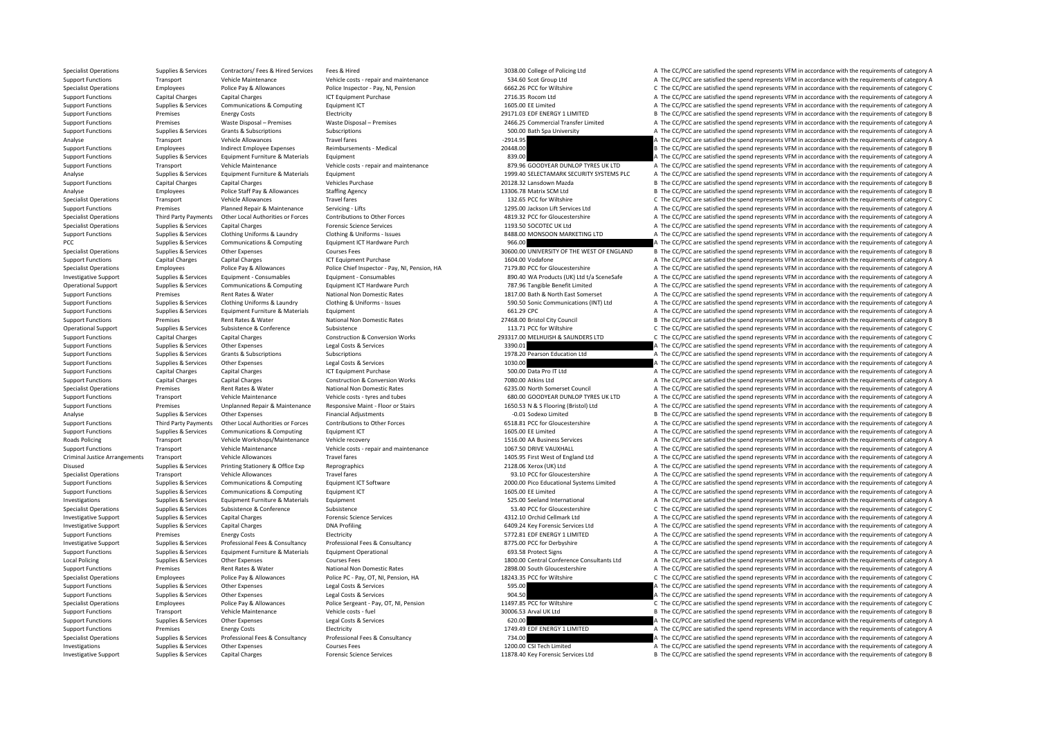Specialist Operations Supplies & Services Contractors/ Fees & Hired Services Fees & Hired 3038.00 College of Policing Ltd A The CC/PCC are satisfied the spend represents VFM in accordance with the requirements of category

Support Functions Transport Vehicle Maintenance Vehicle costs ‐ repair and maintenance S34.60 Scot Group Ltd A The CC/PCC are satisfied the spend represents VFM in accordance with the requirements of category A Specialist Operations Employees Police Pay & Allowances Police Inspector - Pay, NI, Pension 6662.26 PCC for Wiltshire C The CC/PCC are satisfied the spend represents VFM in accordance with the requirements of category C In Support Functions Capital Charges Capital Charges Capital Charges Capital Charges Capital Charges Capital Charges ICT Equipment Purchase 2716.35 Rocom Ltd A The CC/PCC are satisfied the spend represents VFM in accordance w Support Functions Supplies & Services Communications & Computing Equipment ICT 1605.00 EE Limited A The CC/PCC are satisfied the spend represents VFM in accordance with the requirements of category A Support Functions Premises Energy Costs Electricity Electricity Electricity Electricity Premises Energy Costs Electricity Electricity Premises Premises Premises Premises Premises Waste Disposal – Premises Waste Disposal – Support Functions Premises Waste Disposal – Premises Waste Disposal – Premises Waste Disposal – Premises Waste Disposal – Premises Waste Disposal – Premises Waste Disposal – Premises 2466.25 Commercial Transfer Limited A T Support Functions Support Grants Subscriptions Subscriptions Subscriptions Subscriptions Subscriptions Subscriptions Subscriptions Subscriptions Subscriptions Subscriptions Subscriptions Subscriptions Subscriptions Subscri Analyse Chromater Transport Vehicle Allowances Fravel fares Travel fares Travel fares Travel fares Travel fares Travel fares and the companism of the CC/PCC are satisfied the spend represents VFM in accordance with the req Support Functions Employees Indirect Employee Expenses Reimbursements - Medical 20448.00 20448.00 B The CC/PCC are satisfied the spend represents VFM in accordance with the requirements of category B Support Functions Supplies & Services Equipment Eurniture & Materials Equipment Equipment Equipment Equipment and the Support are attended the spend represents VFM in accordance with the requirements of category A The CC/P Support Functions Transport Vehicle Maintenance Vehicle costs • repair and maintenance 879.96 GOODYEAR DUNLOP TYRES UK LTD A The CC/PCC are satisfied the spend represents VFM in accordance with the requirements of category Analyse Supplies & Services Equipment Furniture & Materials Equipment 1999.40 SELECTAMARK SECURITY SYSTEMS PLC A The CC/PCC are satisfied the spend represents VFM in accordance with the requirements of category A Support Functions Capital Charges Capital Charges 20126.32 Lease 20128.32 Lansdown Mazda B The CC/PCC are satisfied the spend represents VFM in accordance with the requirements of category B Analyse Employees Police Staff Pay & Allowances Staffing Agency 13306.78 Matrix SCM Ltd B The CC/PCC are satisfied the spend represents VFM in accordance with the requirements of category B Specialist Operations Transport Vehicle Allowances Travel fares Travel fares Travel fares Travel fares Travel fares Travel fares Travel fares Travel fares attack the spend represents VFM in accordance with the requirements Support Functions Premises Planned Repair & Maintenance Servicing – Lifts 1295.00 Jackson Lift Services Ltd A The CC/PCC are satisfied the spend represents VFM in accordance with the requirements of category A The contribu Specialist Operations Third Party Payments Other Local Authorities or Forces Contributions to Other Forces and the Superators and the CONCES are attending to the COPCC are satisfied the spend represents VFM in accordance w Specialist Operations Supplies & Services Capital Charges Procesic Services Forensic Science Services 1193.50 SOCOTEC UK Ltd A The CC/PCC are satisfied the spend represents VFM in accordance with the requirements of catego Supplies & Services Cothing Uniforms & Laundry Clothing & Uniforms - Issues Clothing Allentoms - Example 2017<br>PCC PCC Are attituded the specified the specified the specified the specified the specified the specified the sp PECC SUPPLE ARE CC/PCC are satisfied the spend represents VFM in accordance with the requirements of category A<br>B The CC/PCC are satisfied the spend represents VFM in accordance with the requirements of category A Specialist Operations Supplies & Services Other Expenses Courses Fees Supplies and Courses Fees 30600.00 UNIVERSITY OF THE WEST OF ENGLAND B The CC/PCC are satisfied the spend represents VFM in accordance with the requirem Support Functions Capital Charges Capital Charges Capital Charges 1601.00 Vodafone 1604.00 Vodafone A The CC/PCC are satisfied the spend represents VFM in accordance with the requirements of category A Specialist Operations Employees Employees Police Pay & Allowances Police Chief Inspector - Pay, NJ, Pension, HA<br>3- Investigative Support Support Support Support Consumables Equipment - Consumables Equipment - Consumables E A The CC/PCC are satisfied the spend represents VFM in accordance with the requirements of category A Comparison of the Comparison of the Comparison Comparison Comparison Comparison Comparison Comparison Comparison Comparison of Category A The COPC are satisfied the spend represents VFM in accordance with the requirements Support Functions Premises Rent Rates & Water National Non Domestic Rates National Non Domestic Rates National Non Domestic Rates 1817.00 Bath & North East Somerset A The CC/PCC are satisfied the spend represents VFM in ac Support Functions Supplies & Services Clothing Uniforms & Laundry Clothing & Uniforms - Issues Clothing Allenting Conting Clothing Allenting Conting Multimate the Support of the CC/PCC are satisfied the spend represents VF Support Functions Supplies & Services Equipment Furniture & Materials Equipment 661.29 CPC A The CC/PCC are satisfied the spend represents VFM in accordance with the requirements of category A Support Functions Premises Rent Rates & Water National Non Domestic Rates 27468.00 Bristol City Council B The CC/PCC are satisfied the spend represents VFM in accordance with the requirements of category B Operational Support Supplies & Services Subsistence Subsistence Subsistence Subsistence Subsistence Subsistence Subsistence C The CC of Wiltshire C The CC/PCC are satisfied the spend represents VFM in accordance with the r Support Functions Capital Charges Capital Charges Capital Charges Construction & Conversion Works 201317.00 MELHUISH & SAUNDERS LTD C The CC/PCC are satisfied the spend represents VFM in accordance with the requirements of Support Functions Supplies and Supplies Costs Are Expendix Costs . A The CC/PCC are satisfied the spend represents 34 a The CC/PCC are satisfied the spend represents VFM in accordance with the requirements of category A Support Functions Supplies & Services Grants & Subscriptions Subscriptions Subscriptions Subscriptions Subscriptions Subscriptions Subscriptions Subscriptions and the spend of the control of the control of the production L Support Functions Supplies & Services Other Expenses Legal Costs & Services 1030.00 A The CC/PCC are satisfied the spend represents VFM in accordance with the requirements of category A Support Functions Capital Charges Capital Charges Scapital Charges ICT Equipment Purchase ICT Equipment Purchase 500.00 Data Pro IT Ltd A The CC/PCC are satisfied the spend represents VFM in accordance with the requirement Support Functions Capital Charges Capital Charges Construction & Conversion Works 7080.00 Atkins Ltd A The CC/PCC are satisfied the spend represents VFM in accordance with the requirements of category A Specialist Operations Premises Rent Rates & Water National Non Domestic Rates Rent Rates Rent Rates Rent Rates Rent Rates Rent Rates Rent Rates Rent Rates Rent Rates Rent Rates Rent Rates Rent Rates Rent Rates Rent Rates a Support Functions Transport Vehicle Maintenance Vehicle costs – tyres and tubes 680.00 GOODYEAR DUNLOP TYRES UK LTD A The CC/PCC are satisfied the spend represents VFM in accordance with the requirements of category A The Support Functions Premises Unplanned Repair & Maintenance Responsive Maint - Floor or Stairs and the Support Assemblance (1950.53 N & S Flooring (Bristol) Ltd A The CC/PCC are satisfied the spend represents VFM in accordan Analyse Supplies & Services Other Expenses Financial Adjustments Financial Adjustments Financial Adjustments Financial Adjustments and the Supplies of the CC/PCC are satisfied the spend represents VFM in accordance with th Third Party Payments Other Local Authorities or Forces Contributions to Other Forces Contributions to Other Forces Content Forces Content CT CONCERT CONTENT A The CC/PCC are satisfied the spend represents VFM in accordance Support Functions Supplies & Services Communications & Computing Faultoment ICT 1605.00 EE Limited 1605.00 EE Limited A The CC/PCC are satisfied the spend represents VFM in accordance with the requirements of category A Roads Policing Transport Vehicle Workshops/Maintenance Vehicle recovery 1516.00 AA Business Services A The CC/PCC are satisfied the spend represents VFM in accordance with the requirements of category A Support Functions Transport Vehicle Maintenance Vehicle costs ‐ repair and maintenance 1067.50 DRIVE VAUXHALL A The CC/PCC are satisfied the spend represents VFM in accordance with the requirements of category A The Critic Transport Vehicle Allowances Travel fares Travel fares 1405.95 First West of England Ltd A The CC/PCC are satisfied the spend represents VFM in accordance with the requirements of category A Disused Supplies & Services Printing Stationery & Office Exp Reprographics Reprographics 2128.06 Xerox (UK) Ltd A The CC/PCC are satisfied the spend represents VFM in accordance with the requirements of category A Specialist Operations Transport Vehicle Allowances Travel fares Travel fares Travel fares Travel fares and the second are a the CC/PCC are satisfied the spend represents VFM in accordance with the requirements of category Sunnort Eunerions Sunning Securitor Communications & Communications & Communications & Communications & Communications & Communications & Communications Faulinment (T Sections 2000 00 Dire Educational Systems Limited a The Support Functions Supplies & Services Communications & Computing Equipment ICT 1605.00 EE Limited 1605.00 EE Limited A The CC/PCC are satisfied the spend represents VFM in accordance with the requirements of category A Investigations Supplies & Services Equipment Furniture & Materials Equipment Equipment 525.00 Seeland International A The CC/PCC are satisfied the spend represents VFM in accordance with the requirements of category A Specialist Operations Supplies & Services Subsistence Subsistence Subsistence Subsistence Subsistence Subsistence Subsistence Subsistence Subsistence Subsistence Subsistence Subsistence Subsistence Subsistence Subsistence Investigative Support Supplies & Services Capital Charges Forensic Science Services and the Services 4312.10 Orchid Cellmark Ltd A The CC/PCC are satisfied the spend represents VFM in accordance with the requirements of ca Investigative Support Supplies & Services Capital Charges DNA Profiling DNA Profiling 6409.24 Key Forensic Services Ltd A The CC/PCC are satisfied the spend represents VFM in accordance with the requirements of category A Support Functions Premises Premises Energy Costs Electricity Electricity Electricity Electricity 5772.81 EDF ENERGY 1 LIMITED A The CC/PCC are satisfied the spend represents VFM in accordance with the requirements of categ Investigative Support Supplies & Services Professional Fees & Consultancy Professional Fees & Consultancy Professional Fees & Consultancy Professional Fees & Consultancy Professional Fees & Consultancy Professional Fees & Support Functions Supplies & Services Foulyment Furniture & Materials Foulyment Operational 693.58 Protect Signs A The CC/PCC are satisfied the spend represents VFM in accordance with the requirements of category A Local Policing Supplies & Services Other Expenses Courses Fees Courses Fees 1800.00 Central Conference Consultants Ltd A The CC/PCC are satisfied the spend represents VFM in accordance with the requirements of category A Support Functions Premises Rent Rates & Water Mational Non Domestic Rates Rent Rates 2898.00 South Gloucestershire A The CC/PCC are satisfied the spend represents VFM in accordance with the requirements of category A The R Specialist Operations Employees Police Pay & Allowances Police PC - Pay, OT, NI, Pension, HA 18243.35 PCC for Wiltshire C The CC/PCC are satisfied the spend represents VFM in accordance with the requirements of category C Support Functions Supplies & Services Other Expenses Legal Costs & Services Services Support The CC/PCC are satisfied the spend represents VFM in accordance with the requirements of category A Support Functions Supplies & Services Other Expenses Legal Costs & Services Legal Costs & Services Costs & Services 904.50 Butcher and the Support Functions A The CC/PCC are satisfied the spend represents VFM in accordance Specialist Operations Employees Police Pay & Allowances Police Sergeant - Pay, OT, NI, Pension 11497.85 PCC for Wiltshire C The CC/PCC are satisfied the spend represents VFM in accordance with the requirements of category Support Functions Transport Vehicle Maintenance Vehicle costs ‐ fuel 30006.53 Arval UK Ltd B The CC/PCC are satisfied the spend represents VFM in accordance with the requirements of category B Support Functions Supplies & Services Other Expenses Material Costs & Services Casa Legal Costs & Services Legal Costs & Services 620.00 A The CC/PCC are satisfied the spend represents VFM in accordance with the requiremen Energy Costs Electricity Electricity Electricity 1749.49 EDF ENERGY 1 LIMITED A The CC/PCC are satisfied the spend represents VFM in accordance with the requirements of category A The CL/PCC are satisfied the spend represe Specialist Operations Supplies & Services Professional Fees & Consultancy Professional Fees & Consultancy Professional Fees & Consultancy Professional Fees & Consultancy Professional Fees & Consultancy Professional Fees & Investigations Supplies & Services Other Expenses Courses Fees 1200.00 CSI Tech Limited A The CC/PCC are satisfied the spend represents VFM in accordance with the requirements of category A Investigative Support Supplies & Services Capital Charges Forensic Science Services Forensic Science Services 11878.40 Key Forensic Services Ltd B The CC/PCC are satisfied the spend represents VFM in accordance with the re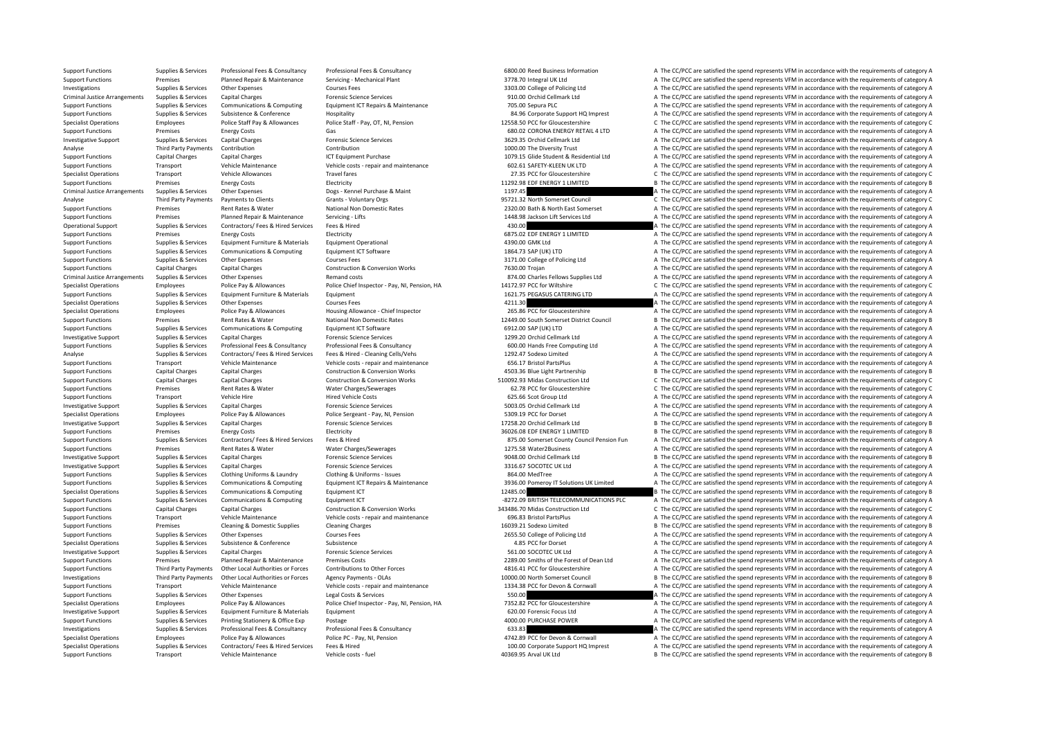Support Functions Supplies & Services Professional Fees & Consultancy Professional Fees & Consultancy Professional Fees & Consultancy Professional Fees & Consultancy Professional Fees & Consultancy Marked Business Informat Support Functions Premises Planned Repair & Maintenance Servicing - Mechanical Plant a Support Function and a The CC/PCC are satisfied the spend represents VFM in accordance with the requirements of category A The CC/PC ar Investigations Supplies & Services Other Expenses Courses Fees Courses Courses Fees 3303.00 College of Policing Ltd A The CC/PCC are satisfied the spend represents VFM in accordance with the requirements of category A Criminal Justice Arrangements Supplies & Services Capital Charges Capital Charges Forensic Science Services 910.00 Orchid Cellmark Ltd A The CC/PCC are satisfied the spend represents VFM in accordance with the requirements Support Functions Supplies & Services Communications & Computing Equipment ICT Repairs & Maintenance 705.00 Sepura PLC 705.00 Sepura PLC A The CC/PCC are satisfied the spend represents VFM in accordance with the requiremen Support Functions Supplies & Services Subsistence & Conference Hospitality Hospitality 84.96 Corporate Support HQ Imprest A The CC/PCC are satisfied the spend represents VFM in accordance with the requirements of category Specialist Operations Employees Police Staff Pay Allowances Police Staff - Pay, OT, NI, Pension 2558.50 PCC for Gloucestershire C The CC/PCC are satisfied the spend represents VFM in accordance with the requirements of cat Support Functions Premises Energy Costs Gas Gas Cases Content Content Content Content Costs Gas Content Content Content Content Content Content Content Content Content Content Content Content Content Content Content Conten Investigative Support Support Support Support Capital Charges Capital Charges Services Services 3629.35 Orchid Cellmark Ltd A The CC/PCC are satisfied the spend represents VFM in accordance with the requirements of categor Analyse Third Party Payments Contribution Contribution Contribution Contribution Contribution 1000.00 The Diversity Trust A The CC/PCC are satisfied the spend represents VFM in accordance with the requirements of category Support Functions Capital Charges Capital Charges Capital Charges ICT Equipment Purchase 1079.15 Glide Student & Residential Ltd A The CC/PCC are satisfied the spend represents VFM in accordance with the requirements of ca Support Functions Transport Vehicle Maintenance Vehicle costs • repair and maintenance 602.61 SAFETY‐KLEEN UK ITD A The CC/PCC are satisfied the spend represents VFM in accordance with the requirements of category A Specialist Operations Transport Vehicle Allowances Travel fares 27.35 PCC for Gloucestershire C The CC/PCC are satisfied the spend represents VFM in accordance with the requirements of category C Energy Creations Category Support Functions Premises Energy Costs Electricity Electricity and the spend represents VFM in accordance with the requirements of category B Criminal Justice Arrangements Supplies & Services Other Expenses Dogs - Kennel Purchase & Maint 1197.45 A The CC/PCC are satisfied the spend represents VFM in accordance with the requirements of category A Analyse Third Party Payments Payments to Clients Grants - Voluntary Orgs Grants - Voluntary Orgs 95721.32 North Somerset Council C The CC/PCC are satisfied the spend represents VFM in accordance with the requirements of ca Support Functions Premises Rent Rates & Water National Non Domestic Rates 2320.00 Bath & North East Somerset A The CC/PCC are satisfied the spend represents VFM in accordance with the requirements of category A Support Functions Premises Planned Repair & Maintenance Servicing - Lifts 1448.98 Jackson Lift Services Ltd A The CC/PCC are satisfied the spend represents VFM in accordance with the requirements of category A Operational Support Supplies & Services Contractors/ Fees & Hired Services Fees & Hired 430.00 A The CC/PCC are satisfied the spend represents VFM in accordance with the requirements of category A The CC/PCC are satisfied Support Functions Premises Premises Energy Costs Electricity Electricity entity energy Electricity entity and the Support Electricity and the SUPPOS EDF ENERGY 1 LIMITED A The CC/PCC are satisfied the spend represents VFM A. The CC/PCC are satisfied the spend represents VFM in accordance with the requirements of category A Support Functions Supplies & Services Communications & Computing Faultoment ICT Software 1864.73 SAP (UK) LTD A The CC/PCC are satisfied the spend represents VFM in accordance with the requirements of category A Support Functions Supplies & Services Other Expenses Support Courses Fees Stategory A The CC/PCC are satisfied the spend represents VFM in accordance with the requirements of category A Support Functions Capital Charges Capital Charges Capital Charges Capital Charges Capital Charges Capital Charges Capital Charges Capital Charges Construction & Conversion Works 7630.00 Trojan 2010 Trojan A The CC/PCC are Expenses Arrangements Supplies Ltd Arrangements Supplies Ltd A The CC/PCC are satisfied the spend represents VFM in accordance with the requirements of category A The Criminal Criminal Criminal Criminal Criminal Criminal C Specialist Operations Compare Funday Police Pay & Allowances Police Chief Inspector - Pay NI Pension HA 1417797 PCC for Wiltshire Compare C The CC/PCC are satisfied the spend represents VFM in accordance with the requireme Support Functions Supplies & Services Equipment Eurniture & Materials Equipment Equipment 1621.75 PEGASUS CATERING LTD A The CC/PCC are satisfied the spend represents VFM in accordance with the requirements of category A T Specialist Operations Supplies & Services Other Expenses Courses Fees Courses Fees Courses Fees 4211.30 A The CC/PCC are satisfied the spend represents VFM in accordance with the requirements of category A The CC/PC are sa A The CC/PCC are satisfied the spend represents VFM in accordance with the requirements of category A Support Functions Premises Rent Rates & Water National Non Domestic Rates 12449.00 South Somerset District Council B The CC/PCC are satisfied the spend represents VFM in accordance with the requirements of category B Support Functions Supporters Supporters Communications & Computing Faulthoment ICT Software 6912.00 SAP (UK) LTD A The CC/PCC are satisfied the spend represents VFM in accordance with the requirements of category A Investigative Support Supplies & Services Capital Charges Consultance Services Forensic Science Services 1299.20 Orchid Cellmark Ltd A The CC/PCC are satisfied the spend represents VFM in accordance with the requirements o A The CC/PCC are satisfied the spend represents VFM in accordance with the requirements of category A Analyse Supplies & Services Contractors/ Fees & Hired Services Fees & Hired - Cleaning Cells/Vehs 1292.47 Sodexo Limited A The CC/PCC are satisfied the spend represents VFM in accordance with the requirements of category A Support Functions Transport Vehicle Maintenance Vehicle costs ‐ repair and maintenance 656.17 Bristol PartsPlus A The CC/PCC are satisfied the spend represents VFM in accordance with the requirements of category A Support Functions Capital Charges Capital Charges Construction & Conversion Works 4503.36 Blue Light Partnership B The CC/PCC are satisfied the spend represents VFM in accordance with the requirements of category B Support Functions Capital Charges Capital Charges Construction & Conversion Works 510092.93 Midas Construction Ltd C The CC/PCC are satisfied the spend represents VFM in accordance with the requirements of category C Support Functions Premises Rent Rates & Water Water Charges/Sewerages COMENTAGES RENT RATES RENT RATES CONTINUES A THE CONTROLLER CONTROLLER AND RENT RATES OF CONTROLLER THE CONTROLLER CHARGES OF CONTROLLER STEADER OF CHAR Support Functions Transport Vehicle Hire Hire Hired Vehicle Costs 625.65 Scot Group Ltd A The CC/PCC are satisfied the spend represents VFM in accordance with the requirements of category A Investigative Support Supplies & Services Capital Charges Porensic Science Services Forensic Science Services 5003.05 Orchid Cellmark Ltd A The CC/PCC are satisfied the spend represents VFM in accordance with the requireme Specialist Operations Employees Police Pay & Allowances Police Sergeant - Pay, NI, Pension 5309.19 PCC for Dorset A The CC/PCC are satisfied the spend represents VFM in accordance with the requirements of category A The CC Investigative Support Support Support Support Support Support Support Support Services 17258.20 Orchid Cellmark Ltd B The CC/PCC are satisfied the spend represents VFM in accordance with the requirements of category B The Support Functions Premises Energy Costs Functions Electricity and the Support of category B The COPCC are satisfied the spend represents VFM in accordance with the requirements of category B Support Functions Supplies & Services Contractors/ Fees & Hired Services Fees & Hired Services Fees & Hired Services Fees & Hired Services Fees & Hired Services Fees & Hired Services Fees & Hired Services Fees & Hired Serv Support Functions Premises Rent Rates & Water Water Charges/Sewerages Water 2008.00 Charges/Sewerages 1275.58 Water2Business A The CC/PCC are satisfied the spend represents VFM in accordance with the requirements of catego Investigative Support Supplies & Services Capital Charges Forensic Science Services Forensic Science Services 9048.00 Orchid Cellmark Ltd B The CC/PCC are satisfied the spend represents VFM in accordance with the requireme Investigative Support Supplies & Services Capital Charges Material Charges Forensic Science Services 3316.67 SOCOTEC UK Ltd A The CC/PCC are satisfied the spend represents VFM in accordance with the requirements of categor Support Functions Supplies & Services Clothing Uniforms & Laundry Clothing & Uniforms - Issues Clothing A Uniforms – Support Functions and the spend in the CC/PC are satisfied the spend represents VFM in accordance with th Support Functions Supplies & Services Communications & Computing Equipment ICT Repairs & Maintenance 3936.00 Pomeroy IT Solutions UK Limited A The CC/PCC are satisfied the spend represents VFM in accordance with the requir Specialist Operations Supplies & Services Communications & Computing Equipment ICT 12485.00 12485.00 B The CC/PCC are satisfied the spend represents VFM in accordance with the requirements of category B Support Functions Supplies & Services Communications & Computing Equipment ICT examples are a strategory A The CC/PCC are satisfied the spend represents VFM in accordance with the requirements of category A Support Functions Capital Charges Capital Charges Construction & Conversion Works 343486.70 Midas Construction Ltd C The CC/PCC are satisfied the spend represents VFM in accordance with the requirements of category C Vehic Support Functions Transport Vehicle Maintenance Vehicle costs ‐ repair and maintenance 696.83 Bristol PartsPlus A The CC/PCC are satisfied the spend represents VFM in accordance with the requirements of category A Support Functions Premises Cleaning & Domestic Supplies Cleaning Charges Cleaning Charges 16039.21 Sodexo Limited B The CC/PCC are satisfied the spend represents VFM in accordance with the requirements of category B Support Functions Supplies & Services Other Expenses Courses Fees 2655.50 College of Policing Ltd A The CC/PCC are satisfied the spend represents VFM in accordance with the requirements of category A The Critical Expenses Specialist Operations Supplies & Services Subsistence Subsistence Subsistence Subsistence Subsistence and Subsistence and Subsistence A Conference Subsistence Subsistence Subsistence Subsistence A The CC/PCC are satisfied Investigative Support Support Support Services Capital Charges Services Forensic Science Services 561.00 SOCOTEC UK Itd A The CC/PCC are satisfied the spend represents VFM in accordance with the requirements of category A Support Functions Premises Planned Repair & Maintenance Premises Costs 2289.00 Smiths of the Forest of Dean Ltd A The CC/PCC are satisfied the spend represents VFM in accordance with the requirements of category A Support Functions Third Party Payments Other Local Authorities or Forces Contributions to Other Forces and the Support of the COPCC are satisfied the spend represents VFM in accordance with the requirements of category A r Third Party Payments Other Local Authorities or Forces Agency Payments - OLAs 10000.00 North Somerset Council BIRe CC/PCC are satisfied the spend represents VFM in accordance with the requirements of category B Support Functions Transport Vehicle Maintenance Vehicle costs - repair and maintenance 1334.38 PCC for Devon & Cornwall A The CC/PCC are satisfied the spend represents VFM in accordance with the requirements of category A Support Functions Supplies & Services Other Expenses Legal Costs & Services Services 550.00 A The CC/PCC are satisfied the spend represents VFM in accordance with the requirements of category A Specialist Operations Employees Police Pay & Allowances Police Chief Inspector - Pay, NI, Pension, HA 7352.82 PCC for Gloucestershire A The CC/PCC are satisfied the spend represents VFM in accordance with the requirements Investigative Support Supplies & Services Foujoment Furniture & Materials Foujoment 620.00 Forensic Focus Ltd A The CC/PCC are satisfied the spend represents VFM in accordance with the requirements of category A Support Functions Supplies & Services Printing Stationery & Office Exp Postage Professional Fees & Consultancy<br>
A The CC/PCC are satisfied the spend represents VFM in accordance with the requirements of category A The CC/P A The CC/PCC are satisfied the spend represents VFM in accordance with the requirements of category A Specialist Operations Employees Police Pay & Allowances Police PC ‐ Pay, NI, Pension 4742.89 PCC for Devon & Cornwall A The CC/PCC are satisfied the spend represents VFM in accordance with the requirements of category A Supplies & Services Contractors/ Fees & Hired Services Fees & Hired Hired Services Fees & Hired Mustangle and Mustangle and Mustangle and Mustangle and Mustangle and Mustangle and Mustangle and Mustangle and Mustangle and Support Functions Transport Vehicle Maintenance Vehicle costs - fuel 40369.95 Arval UK Ltd B The CC/PCC are satisfied the spend represents VFM in accordance with the requirements of category B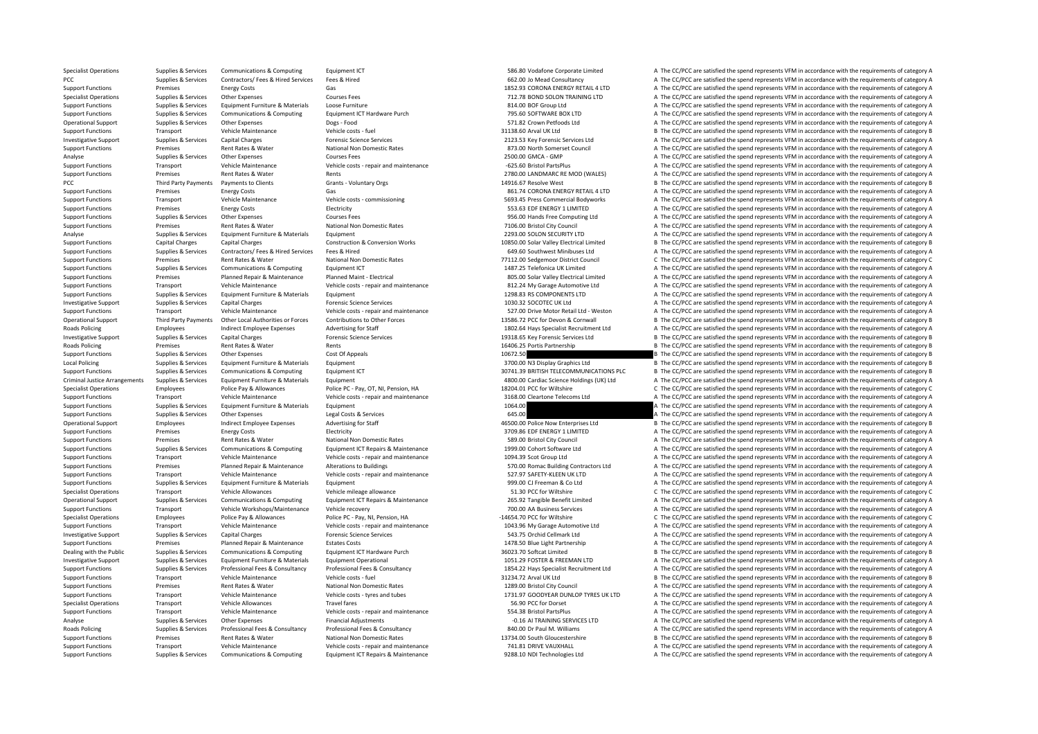Specialist Operations Supplies & Services Communications & Computing Equipment ICT 586.80 Vodafone Corporate Limited A The CC/PCC are satisfied the spend represents VFM in accordance with the requirements of category A PCC Supplies & Services Contractors/ Fees & Hired Services Fees & Hired Services Fees & Hired 662.00 Jo Mead Consultancy A The CC/PCC are satisfied the spend represents VFM in accordance with the requirements of category A Support Functions Premises Energy Costs Gas Gas Gas 1852.93 CORONA ENERGY RETAIL 4 LTD A The CC/PCC are satisfied the spend represents VFM in accordance with the requirements of category A The Support Function of category Specialist Operations Supplies & Services Other Expenses Courses Fees Courses Fees The Supplies Courses Fees The CONTRAINING LTD A The CC/PCC are satisfied the spend represents VFM in accordance with the requirements of ca Support Functions Supplies A The CC/PCC are satisfied the spend represents VFM in accordance with the requirements of category A Support Functions Supplies & Services Communications & Computing Equipment ICT Hardware Purch 795.60 SOFTWARE BOX LTD A The CC/PCC are satisfied the spend represents VFM in accordance with the requirements of category A Th Operational Support Supplies & Services Other Expenses Dogs - Food Dogs - Food Support Dogs - Food 571.82 Crown Petfoods Ltd A The CC/PCC are satisfied the spend represents VFM in accordance with the requirements of catego Support Functions Transport Vehicle Maintenance Vehicle costs ‐ fuel Support Deficie costs • fuel 31138.60 Arval UK Ltd B The CC/PCC are satisfied the spend represents VFM in accordance with the requirements of category B Investigative Support Support Support Support Capital Charges Capital Charges Porensic Science Services 2123.53 Key Forensic Services 2123.53 Key Forensic Services Ltd A The CC/PCC are satisfied the spend represents VFM in Support Functions Premises Rent Rates & Water National Non Domestic Rates 873.00 North Somerset Council A The CC/PCC are satisfied the spend represents VFM in accordance with the requirements of category A Thanks and the r Analyse Supplies & Services Other Expenses Courses Fees Courses Fees 2500.00 GMCA - GMP A The CC/PCC are satisfied the spend represents VFM in accordance with the requirements of category A The creative and the requirement Support Functions Transport Vehicle Maintenance Vehicle costs repair and maintenance Galacter Parts **A The CC/PC are satisfied the spend represents VFM** in accordance with the requirements of category A The CC/PCC are sati Support Functions Premises Rent Rates & Water Rents Rents Rents Rents Rents Rents 2780.00 LANDMARC RE MOD (WALES) A The CC/PCC are satisfied the spend represents VFM in accordance with the requirements of category A PCC Third Party Payments Payments to Clients Grants Voluntary Orgs 14916.67 Resolve West B The CC/PCC are satisfied the spend represents VFM in accordance with the requirements of category B Support Functions Premises Energy Costs Gas Gas Seasy A Seasy A The CC/PCC are satisfied the spend represents VFM in accordance with the requirements of category A Support Functions Transport Vehicle Maintenance Vehicle costs ‐ commissioning 5693.45 Press Commercial Bodyworks A The CC/PCC are satisfied the spend represents VFM in accordance with the requirements of category A Support Functions Premises Energy Costs Electricity Electricity Support Electricity Support Electricity Support Electricity Support Electricity Support Electricity Support Electricity Support Electricity Support Electricit Support Functions Supplies & Services Other Expenses 2007 Courses Fees 2007 Courses Fees 356.00 Hands Free Computing Ltd A The CC/PCC are satisfied the spend represents VFM in accordance with the requirements of category A Support Functions Premises Rent Rates & Water National Non Domestic Rates 7106.00 Bristol City Council A The CC/PCC are satisfied the spend represents VFM in accordance with the requirements of category A Analyse Supplies & Services Equipment Eurniture & Materials Equipment Equipment Equipment Category A The CC/PCC are satisfied the spend represents VFM in accordance with the requirements of category A Construction & Constr Support Functions Construction & Conversion Works 10850.00 Solar Valley Electrical Limited B The CC/PCC are satisfied the spend represents VFM in accordance with the requirements of category B Construction & Conversion Wor Support Functions Supplies & Services Contractors/ Fees & Hired Services Fees & Hired Services Fees & Hired 649.60 Southwest Minibuses Ltd A The CC/PCC are satisfied the spend represents VFM in accordance with the requirem Support Functions Premises Rent Rates & Water National Non Domestic Rates 77112.00 Sedgemoor District Council C The CC/PCC are satisfied the spend represents VFM in accordance with the requirements of category C Support Functions Supplies & Services Communications & Computing Equipment ICT Equipment ICT 1487.25 Telefonica UK Limited A The CC/PCC are satisfied the spend represents VFM in accordance with the requirements of category A The CC/PCC are satisfied the spend represents VFM in accordance with the requirements of category A Support Functions Transport Vehicle Maintenance Vehicle costs • repair and maintenance 812.24 My Garage Automotive Ltd A The CC/PCC are satisfied the spend represents VFM in accordance with the requirements of category A Support Functions Supplies & Services Equipment Furniture & Materials Equipment 1298.83 RS COMPONENTS LTD A The CC/PCC are satisfied the spend represents VFM in accordance with the requirements of category A Investigative Support Supplies & Services Capital Charges Category A The Compact Caregory Capital Charges Forensic Science Services 1030.32 SOCOTEC UK Ltd A The CC/PCC are satisfied the spend represents VFM in accordance w Transport Vehicle Maintenance Wehicle costs - repair and maintenance and the S27.00 Drive Motor Retail Ltd - Weston Maintenance A The CC/PCC are satisfied the spend represents VFM in accordance with the requirements of cat Operational Support Third Party Payments Other Local Authorities or Forces Contributions to Other Forces Conter Forces 13586.72 PCC for Devon & Cornwall B The CC/PCC are satisfied the spend represents VFM in accordance wit Roads Policing Employees Indirect Employee Expenses Advertising for Staff 1802.64 Hays Specialist Recruitment Ltd A The CC/PCC are satisfied the spend represents VFM in accordance with the requirements of category A The CC Investigative Support Supplies & Services Capital Charges Category B Torensic Science Services Forensic Science Services 19318.65 Key Forensic Services Ltd B The CC/PCC are satisfied the spend represents VFM in accordance Rents Premises Access Policing Premises Rental Rates and Rental Rental Rental Rental Rents Access Rents Inc. Communist Partnership B The CC/PCC are satisfied the spend represents VFM in accordance with the requirements of Support Functions Supplies & Services Other Expenses Cost Of Appeals Cost Of Appeals Cost Of Appeals Cost Of Appeals 10672.50 B The CC/PCC are satisfied the spend represents VFM in accordance with the requirements of categ Local Policing Supplies & Services Equipment Eurniture & Materials Equipment Equipment and the Supplies and the Supplies Ltd B The CC/PCC are satisfied the spend represents VFM in accordance with the requirements of catego Supplies & Services Communications & Computing Equipment ICT examplement and the support of the support of the support of the CC/PCC are satisfied the spend represents VFM in accordance with the requirements of category B Criminal Justice Arrangements Supplies & Services Equipment Furniture & Materials Equipment Europy equipment Europe Equipment Europe Equipment and the CCOC are satisfied the spend represents VFM in accordance with the requ Specialist Operations Employees Police Pay & Allowances Police PC - Pay, OT, NI, Pension, HA 18204.01 PCC for Wiltshire C The CC/PCC are satisfied the spend represents VFM in accordance with the requirements of category C<br> Support Functions Transport Vehicle Maintenance Vehicle costs ‐ repair and maintenance 3168.00 Cleartone Telecoms Ltd A The CC/PCC are satisfied the spend represents VFM in accordance with the requirements of category A Support Functions Supplies & Services Equipment Furniture & Materials Equipment Equipment 1064.00 A The CC/PCC are satisfied the spend represents VFM in accordance with the requirements of category A Support Functions Supplies & Services Other Expenses Legal Costs & Services Legal Costs & Services Legal Costs & Services 645.00 Police Now Enterprises Ltd Ball Corport Functions of category B The CC/PCC are satisfied the Operational Support Employee Expenses Advertising for Staff 46500.00 Police Now Enterprises Ltd B The CC/PCC are satisfied the spend represents VFM in accordance with the requirements of category B The CC/PCC are satisfied Support Functions Premises Energy Costs Functions Electricity and the Energy Costs Electricity and the Spend represents VFM in accordance with the requirements of category A Support Functions Premises Rent Rates & Water National Non Domestic Rates Same and the Same Same of the CC/PCC are satisfied the spend represents VFM in accordance with the requirements of category A Support Functions Supplies & Services Communications & Computing Equipment ICT Repairs & Maintenance example to the CONCOC of the CO/PCC are satisfied the spend represents VFM in accordance with the requirements of categor Transport Vehicle Maintenance Vehicle costs ‐ repair and maintenance 1094.39 Scot Group Ltd A The CC/PCC are satisfied the spend represents VFM in accordance with the requirements of category A Support Functions Premises Planned Repair & Maintenance Alterations to Buildings 570.00 Romac Building Contractors Ltd A The CC/PCC are satisfied the spend represents VFM in accordance with the requirements of category A Support Functions Transport Vehicle Maintenance Vehicle costs ‐ repair and maintenance vehicle costs • repair and maintenance Support A The CC/PCC are satisfied the spend represents VFM in accordance with the requirements Support Functions Supplies & Services Foujoment Furniture & Materials Foujoment 999.00 CJ Freeman & Co Ltd A The CC/PCC are satisfied the spend represents VFM in accordance with the requirements of category A Specialist Operations Transport Vehicle Allowances Vehicle mileage allowance Vehicle mileage allowance Vehicle mileage allowance S1.30 PCC for Wiltshire C The CC/PCC are satisfied the spend represents VFM in accordance wit Operational Support Support Supporters & Communications & Computing Equipment ICT Repairs & Maintenance 265.92 Tangible Benefit Limited A The CC/PCC are satisfied the spend represents VFM in accordance with the requirement Support Functions Transport Vehicle Workshops/Maintenance Vehicle recovery 700.00 AA Business Services A The CC/PCC are satisfied the spend represents VFM in accordance with the requirements of category A The Criteria and Specialist Operations Employees Police Pay & Allowances Police PC ‐ Pay, NI, Pension, HA – 14654.70 PCC for Wiltshire C The CC/PCC are satisfied the spend represents VFM in accordance with the requirements of category C Support Functions Transport Vehicle Maintenance Vehicle costs - repair and maintenance 1043.96 My Garage Automotive Ltd A The CC/PCC are satisfied the spend represents VFM in accordance with the requirements of category A Investigative Support Supplies & Services Capital Charges Category A The Compare Services Services 543.75 Orchid Cellmark Ltd A The CC/PCC are satisfied the spend represents VFM in accordance with the requirements of categ Support Functions Premises Planned Repair & Maintenance Estates Costs and Estates Costs 1478.50 Blue Light Partnership A The CC/PCC are satisfied the spend represents VFM in accordance with the requirements of category A T Dealing with the Public Sunnlies & Services Communications & Communications & Communications & Communications & Communications & Communications & Communications & Communications & Communications & Communications & Communic Investigative Support Supplies & Services Equipment Furniture & Materials Equipment Operational Equipment Operational Equipment Operational Support Descriptional DELL29 FOSTER & FREEMAN LTD A The CC/PCC are satisfied the s Supplies & Services Professional Fees & Consultancy Professional Fees & Consultancy Professional Fees & Consultancy Professional Fees & Consultancy Professional Fees & Consultancy Professional Fees & Consultancy Profession Support Functions Transport Vehicle Maintenance Vehicle costs ‐ fuel Vehicle costs ‐ fuel 31234.72 Arval UK Ltd B The CC/PCC are satisfied the spend represents VFM in accordance with the requirements of category B Support Functions Premises Rent Rates & Water National Non Domestic Rates National Non Domestic Rates National Non Domestic Rates 1289.00 Bristol City Council A The CC/PCC are satisfied the spend represents VFM in accordan Support Functions Transport Vehicle Maintenance Vehicle costs ‐ tyres and tubes 1731.97 GOODYEAR DUNLOP TYRES UK LTD A The CC/PCC are satisfied the spend represents VFM in accordance with the requirements of category A Specialist Operations Transport Vehicle Allowances Travel fares Travel fares Travel fares Travel fares Travel fares and maintenance Specialist Operations A The CC/PCC are satisfied the spend represents VFM in accordance wi Support Functions Transport Vehicle Maintenance Vehicle costs ‐ repair and maintenance S54.38 Bristol PartsPlus A The CC/PCC are satisfied the spend represents VFM in accordance with the requirements of category A Analyse Supplies & Services Other Expenses Financial Adjustments Financial Adjustments Financial Adjustments Financial Adjustments and the Services Consultancy and the CONCE are satisfied the spend represents VFM in accord A The CC/PCC are satisfied the spend represents VFM in accordance with the requirements of category A Support Functions Premises Rent Rates & Water National Non Domestic Rates 13734.00 South Gloucestershire B The CC/PCC are satisfied the spend represents VFM in accordance with the requirements of category B Support Functions Transport Vehicle Maintenance Vehicle costs ‐ repair and maintenance 741.81 DRIVE VAUXHALL A The CC/PCC are satisfied the spend represents VFM in accordance with the requirements of category A Support Functions Supplies & Services Communications & Computing Equipment ICT Repairs & Maintenance 9288.10 NDI Technologies Ltd A The CC/PCC are satisfied the spend represents VFM in accordance with the requirements of c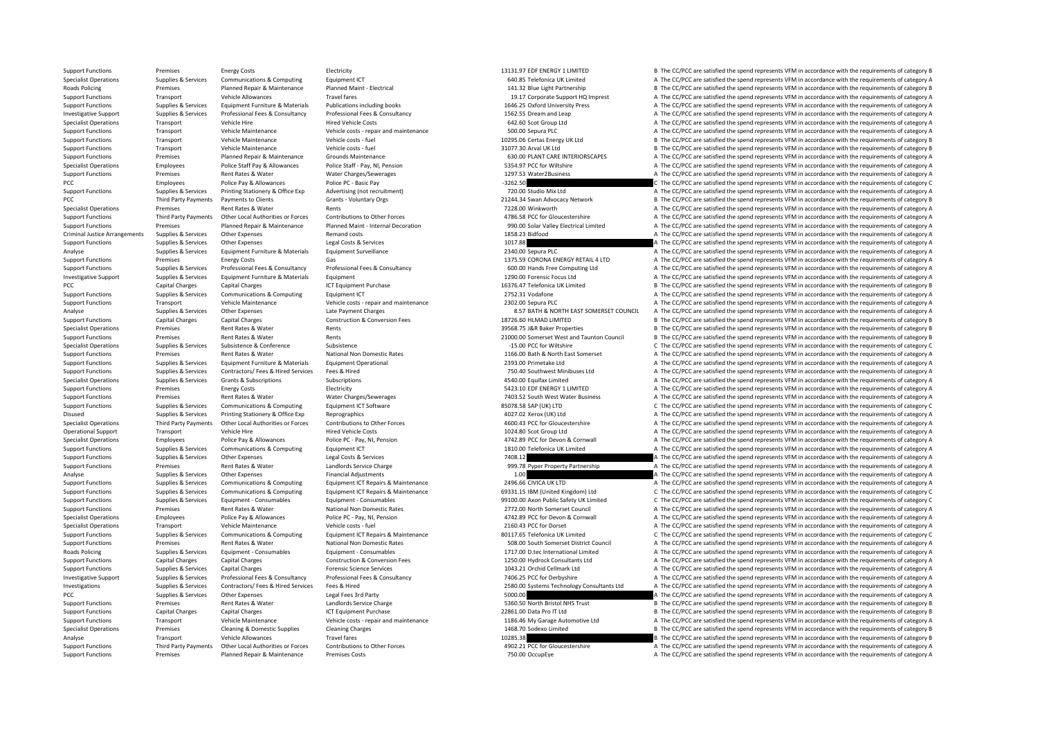Support Functions Premises Energy Costs Electricity Electricity and the COSTS ENERGY 1 LIMITED B The CC/PCC are satisfied the spend represents VFM in accordance with the requirements of category B Specialist Operations Supplies & Services Communications & Computing Equipment ICT 640.85 Telefonica UK Limited A The CC/PCC are satisfied the spend represents VFM in accordance with the requirements of category A Roads Policing Premises Planned Repair & Maintenance Planned Maint - Electrical Premises Planned Maint - Electrical Partnership 141.32 Blue Light Partnership B The CC/PCC are satisfied the spend represents VFM in accordanc Support Functions Transport Vehicle Allowances Travel fares Travel fares Travel fares Travel fares and the support HQ Imprest A The CC/PCC are satisfied the spend represents VFM in accordance with the requirements of categ Supplies & Services Equipment Furniture & Materials Publications including books 1646.25 Oxford University Press A The CC/PCC are satisfied the spend represents VFM in accordance with the requirements of category A Investigative Support Supplies & Services Professional Fees & Consultancy Professional Fees & Consultancy Professional Fees & Consultancy Professional Fees & Consultancy Professional Fees & Consultancy Professional Fees & Specialist Operations Transport Vehicle Hire Mehicle Hire Hired Vehicle Costs 642.60 Scot Group Ltd A The CC/PCC are satisfied the spend represents VFM in accordance with the requirements of category A Support Functions Transport Vehicle Maintenance Vehicle costs ‐ repair and maintenance 500.00 Sepura PLC A The CC/PCC are satisfied the spend represents VFM in accordance with the requirements of category A Support Functions Transport Vehicle Maintenance Vehicle costs ‐ fuel 10295.06 Certas Energy UK Ltd B The CC/PCC are satisfied the spend represents VFM in accordance with the requirements of category B Support Functions Transport Vehicle Maintenance Vehicle costs – fuel vehicle costs – fuel 31077.30 Arval UK Ltd B The CC/PCC are satisfied the spend represents VFM in accordance with the requirements of category B The Crit Support Functions Premises Planned Repair & Maintenance Grounds Maintenance Grounds Maintenance Corpus and the COD PLANT CARE INTERIORSCAPES A The CC/PCC are satisfied the spend represents VFM in accordance with the requir Specialist Operations Employees Police Staff Pay & Allowances Police Staff - Pay, NI, Pension 5354.97 PCC for Wiltshire A The CC/PCC are satisfied the spend represents VFM in accordance with the requirements of category A Support Functions Premises Rent Rates & Water Water Charges/Sewerages 1297.53 Water2Business A The CC/PCC are satisfied the spend represents VFM in accordance with the requirements of category A PCC Police Pay & Allowances Police PC – Basic Pay Police PC – Basic Pay Police PC – Basic Pay Police PC – Basic Pay **Police PC – Basic Pay 1990** C The CC/PCC are satisfied the spend represents VFM in accordance with the re Support Functions Supplies & Services Printing Stationery & Office Exp Advertising (not recruitment) 720.00 Studio Mix Ltd A The CC/PCC are satisfied the spend represents VFM in accordance with the requirements of category PCC Third Party Payments Payments to Clients Sames Crants - Voluntary Orgs 21244.34 Swan Advocacy Network B The CC/PCC are satisfied the spend represents VFM in accordance with the requirements of category B Specialist Operations Premises Premises Rent Rents Rents Rents Rents Rents Rents Rents Rents Rents Rents Rents<br>
Support Functions Third Party Payments Other Ional Authorities or Forces Contributions to Other Forces Contrib Support Functions Third Party Payments Other Local Authorities or Forces Contributions to Other Forces of Contributions to Other Forces and the Specific contributions of Contributions to Other Forces and the CONSERVER's Co Support Functions Premises Planned Repair & Maintenance Planned Maint - Internal Decoration 990.00 Solar Valley Electrical Limited A The CC/PCC are satisfied the spend represents VFM in accordance with the requirements of Criminal Justice Arrangements Supplies & Services Other Expenses Remand costs Remand costs Remand costs Remand costs 1858.23 Bidfood A The CC/PCC are satisfied the spend represents VFM in accordance with the requirements o Support Functions Supplies & Services Other Expenses Legal Costs & Services Legal Costs & Services Legal Costs & Services 1017.88 A The CC/PCC are satisfied the spend represents VFM in accordance with the requirements of c Analyse Supplies & Services Foulyment Furniture & Materials Foulyment Surveillance 2340.00 Sepura PLC A The CC/PCC are satisfied the spend represents VFM in accordance with the requirements of category A Support Functions Premises Energy Costs Gas Gas 1375.59 CORONA ENERGY RETAIL 4 LTD A The CC/PCC are satisfied the spend represents VFM in accordance with the requirements of category A Support Functions Supplies & Services Professional Fees & Consultancy Professional Fees & Consultancy Professional Fees & Consultancy Consultancy and the Support of the CC/PCC are satisfied the spend represents VFM in acco Investigative Support Supplies & Services Equipment Furniture & Materials Equipment 1290.00 Forensic Focus Ltd A The CC/PCC are satisfied the spend represents VFM in accordance with the requirements of category A Capital Charges Capital Charges ICT Equipment Purchase 16376.47 Telefonica UK Limited B The CC/PCC are satisfied the spend represents VFM in accordance with the requirements of category B Support Functions Supplies & Services Communications & Computing Equipment ICT 2752.31 Vodafone 2752.31 Vodafone A The CC/PCC are satisfied the spend represents VFM in accordance with the requirements of category A Support Functions Transport Vehicle Maintenance Vehicle costs ‐ repair and maintenance Vehicle costs ‐ repair and maintenance 2302.00 Sepura PLC A The CC/PCC are satisfied the spend represents VFM in accordance with the re A The CC/PCC are satisfied the spend represents VFM in accordance with the requirements of category A Support Functions Capital Charges Capital Charges Construction & Conversion Fees 18726.60 HLMAD LIMITED B The CC/PCC are satisfied the spend represents VFM in accordance with the requirements of category B Specialist Operations Premises Rent Rates & Water Rents Rents Rents Rent Rents Rents Rents Rents And a Specialist Operations B The CC/PCC are satisfied the spend represents VFM in accordance with the requirements of catego Support Functions Premises Premises Rent Rates & Water Rents Rents Rents Rents Rents Rents Rents Rents Rents Rents Rents 21000.00 Somerset West and Taunton Council B The CC/PCC are satisfied the spend represents VFM in acc C The CC/PCC are satisfied the spend represents VFM in accordance with the requirements of category C Support Functions Premises Rent Rates & Water National Non Domestic Rates National Non Domestic Rates 1166.00 Bath & North East Somerset A The CC/PCC are satisfied the spend represents VFM in accordance with the requiremen Support Functions Supplies & Services Foulyment Furniture & Materials Foulyment Operational 2393.00 Primetake Ltd A The CC/PCC are satisfied the spend represents VFM in accordance with the requirements of category A Support Functions Supplies & Services Contractors/ Fees & Hired Services Fees & Hired The Minibuses The CC/PCC are satisfied the spend represents VFM in accordance with the requirements of category A Specialist Operations Supplies & Services Grants & Subscriptions Subscriptions Subscriptions Subscriptions and Subscriptions and Subscriptions Subscriptions and A The CC/PCC are satisfied the spend represents VFM in accord Support Functions Premises Energy Costs Electricity Electricity Electricity Electricity Electricity Electricity Support Electricity 5423.10 EDF ENERGY 1 LIMITED A The CC/PCC are satisfied the spend represents VFM in accord Support Functions Premises Rent Rates & Water Water Charges/Sewerages 7403.52 South West Water Business A The CC/PCC are satisfied the spend represents VFM in accordance with the requirements of category A Support Functions Supplies & Services Communications & Computing Equipment ICT Software 85078.58 SAP (UK) LTD C The CC/PCC are satisfied the spend represents VFM in accordance with the requirements of category C Disused Supplies & Services Printing Stationery & Office Exp Reprographics and Reprographics A The CZ7.02 Xerox (UK) Ltd A The CC/PCC are satisfied the spend represents VFM in accordance with the requirements of category A Third Party Payments Other Local Authorities or Forces Contributions to Other Forces and the COO.43 PCC for Gloucestershire A The CC/PCC are satisfied the spend represents VFM in accordance with the requirements of categor Operational Support Transport Vehicle Hire Hired Vehicle Costs 1024.80 Scot Group Ltd A The CC/PCC are satisfied the spend represents VFM in accordance with the requirements of category A Specialist Operations Employees Police Pay & Allowances Police PC - Pay, NI, Pension 4742.89 PCC for Devon & Cornwall A The CC/PCC are satisfied the spend represents VFM in accordance with the requirements of category A Support Functions Supplies & Services Communications & Computing Equipment ICT Equipment ICT 1810.00 Telefonica UK Limited A The CC/PCC are satisfied the spend represents VFM in accordance with the requirements of category Support Functions Supplies A Supplies A The CC/PCC are satisfied the spend represents VFM in accordance with the requirements of category A Support Functions Premises Rent Rates & Water Landlords Service Charge Landlords Service Charge 999.78 Pyper Property Partnership A The CC/PCC are satisfied the spend represents VFM in accordance with the requirements of c Analyse Supplies & Services Other Expenses Financial Adjustments Financial Adjustments and the content of category A The CC/PCC are satisfied the spend represents VFM in accordance with the requirements of category A The C Support Functions Supplies & Services Communications & Computing Equipment ICT Repairs & Maintenance 2496.66 CIVICA UK LTD A The CC/PCC are satisfied the spend represents VFM in accordance with the requirements of categor Support Functions Supplies & Services Communications & Computing Equipment ICT Repairs & Maintenance 69331.15 IBM (United Kingdom) Ltd C The CC/PCC are satisfied the spend represents VFM in accordance with the requirements Supplies Supplies & Services Equipment - Consumables Equipment - Consumables Equipment - Consumables Equipment - Consumables Equipment - Consumables are service of the CC/PCC are satisfied the spend represents VFM in accor Support Functions Premises Rent Rates & Water National Non Domestic Rates 2772.00 North Somerset Council A The CC/PCC are satisfied the spend represents VFM in accordance with the requirements of category A The Council Cou Specialist Operations Employees Police Pay & Allowances Police PC ‐ Pay, NI, Pension 4742.89 PCC for Devon & Cornwall A The CC/PCC are satisfied the spend represents VFM in accordance with the requirements of category A Specialist Operations Transport Vehicle Maintenance Vehicle costs ‐ fuel Vehicle Costs ‐ fuel 2160.43 PCC for Dorset A The CC/PCC are satisfied the spend represents VFM in accordance with the requirements of category A Supplies Supplies & Services Communications & Computing Equipment ICT Repairs & Maintenance and a service and a service of the CC/PCC are satisfied the spend represents VFM in accordance with the requirements of category C Support Functions Premises Rent Rates & Water National Non Domestic Rates Support Functional Incomerset District Council A The CC/PCC are satisfied the spend represents VFM in accordance with the requirements of category A Roads Policing Supplies Services Equipment • Consumables Equipment • Consumables Equipment • Consumables Equipment • Consumables Equipment • Consumables 1717.00 D.tec International Limited A The CC/PCC are satisfied the sp Support Functions Capital Charges Capital Charges Construction & Conversion Fees 1250.00 Hydrock Consultants Ltd A The CC/PCC are satisfied the spend represents VFM in accordance with the requirements of category A Support Functions Supplies & Services Capital Charges Category A The Carges Forensic Science Services Forensic Science Services 1043.21 Orchid Cellmark Ltd A The CC/PCC are satisfied the spend represents VFM in accordance Investigative Support Support Support Supporters & Consultancy Professional Fees & Consultancy Professional Fees & Consultancy Professional Fees & Consultancy Consultancy 7406.25 PCC for Derbyshire Magnus A The CC/PCC are Investigations Supplies & Services Contractors/ Fees & Hired Services Fees & Hired Services Fees & Hired Services Fees & Hired Services Fees & Hired Services Fees & Hired Services Fees & Hired Services Pees & Hired Service PCC Supplies & Services Other Expenses Legal Fees 3rd Party **Supplies and The CC/PCC are satisfied the spend represents VFM in accordance with the requirements of category A** Support Functions Premises Rent Rates & Water Landlords Service Charge S360.50 North Bristol NHS Trust B The CC/PCC are satisfied the spend represents VFM in accordance with the requirements of category B<br>Support Functions Support Functions Capital Charges Capital Charges ICT Equipment Purchase 22861.00 Data Pro IT Itd B The CC/PCC are satisfied the spend represents VFM in accordance with the requirements of category B Support Functions Transport Vehicle Maintenance Vehicle costs – repair and maintenance 1186.46 My Garage Automotive Ltd A The CC/PCC are satisfied the spend represents VFM in accordance with the requirements of category B<br> Specialist Operations Premises Cleaning Bremises Cleaning B The CC/PCC are satisfied the spend represents VFM in accordance with the requirements of category B The CC/PCC are satisfied the spend represents VFM in accordanc Analyse Transport Vehicle Allowances Travel fares Travel fares 10285.38 10285.38 B The CC/PCC are satisfied the spend represents VFM in accordance with the requirements of category B Support Functions Third Party Payments Other Local Authorities or Forces Contributions to Other Forces contributions to Other Forces and the substance of CONCC for Gloucestershire A The CC/PCC are satisfied the spend repre Support Functions Premises Planned Repair & Maintenance Premises Costs 750.00 OccupEye 750.00 OccupEye A The CC/PCC are satisfied the spend represents VFM in accordance with the requirements of category A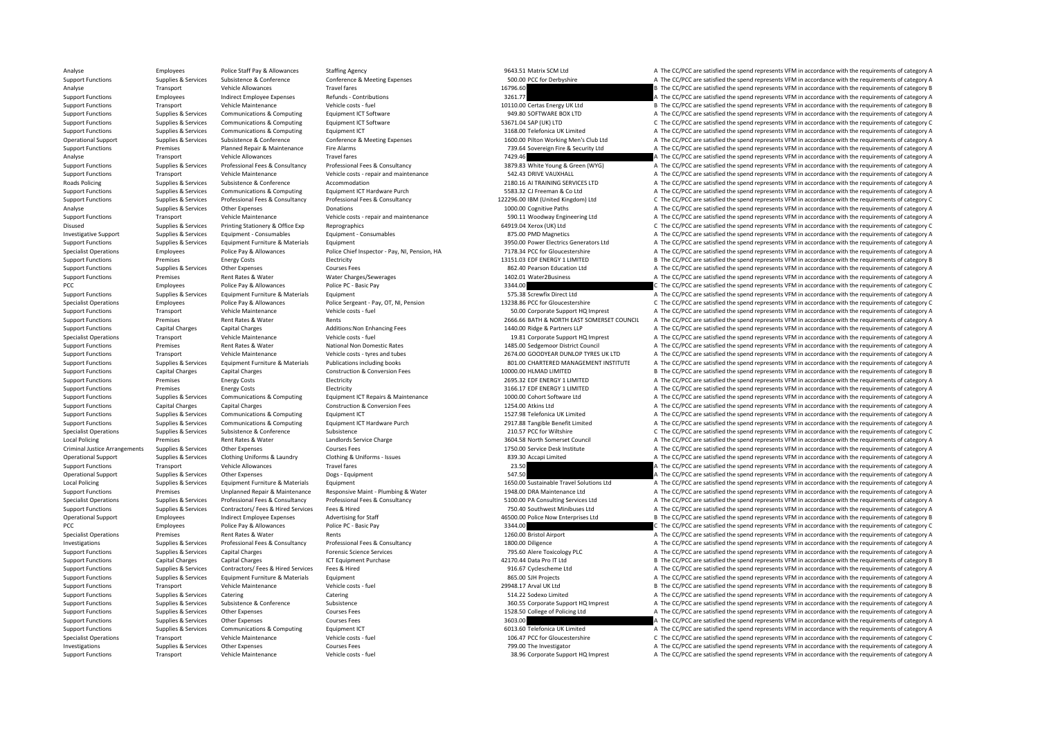Analyse Employees Police Staff Pay & Allowances Staffing Agency Staffing Agency 9643.51 Matrix SCM Ltd A The CC/PCC are satisfied the spend represents VFM in accordance with the requirements of category A Support Functions Supplies & Services Subsistence & Conference Conference Conference & Meeting Expenses 500.00 PCC for Derbyshire A The CC/PCC are satisfied the spend represents VFM in accordance with the requirements of c Analyse Transport Vehicle Allowances Travel fares Travel fares and the contributions and the contributions of the CC/PCC are satisfied the spend represents VFM in accordance with the requirements of category B The CC/PCC a Support Functions Employees Indirect Employee Expenses Refunds - Contributions Refunds - Contributions and the Support Employee Expenses Refunds - Contributions 3261.77 A The CC/PCC are satisfied the spend represents VFM i Transport Vehicle Maintenance Vehicle costs ‐ fuel 10110.00 Certas Energy UK Ltd B The CC/PCC are satisfied the spend represents VFM in accordance with the requirements of category B Support Functions Supplies & Services Communications & Computing Equipment ICT Software Equipment ICT Software 949.80 SOFTWARE BOX LTD A The CC/PCC are satisfied the spend represents VFM in accordance with the requirements Support Functions Supplies & Services Communications & Computing Equipment ICT Software 53671.04 SAP (UK) LTD C The CC/PCC are satisfied the spend represents VFM in accordance with the requirements of category C Support Functions Supplies & Services Communications & Computing Fouldment ICT 3168.00 Telefonica UK Limited A The CC/PCC are satisfied the spend represents VFM in accordance with the requirements of category A Operational Support Support Supporters Subsistence & Conference Conference Conference Conference Conference Conference Conference Conference Conference Conference Conference Conference Conference Conference Conference Conf Support Functions Premises Planned Repair & Maintenance Fire Alarms 739.64 Sovereign Fire & Security Ltd A The CC/PCC are satisfied the spend represents VFM in accordance with the requirements of category A Transport Vehicle Allowances Travel fares Travel fares 7429.46 A The CC/PCC are satisfied the spend represents VFM in accordance with the requirements of category A The CC/PCC are satisfied the spend represents VFM in acco Sunnort Eunctions Sunning & Services Professional Fees & Consultancy Professional Fees & Consultancy Professional Fees & Consultancy Professional Fees & Consultancy Professional Fees & Consultancy Professional Fees & Consu Support Functions Transport Vehicle Maintenance Vehicle costs ‐ repair and maintenance Vehicle costs ‐ repair and maintenance 542.43 DRIVE VAUXHALL A The CC/PCC are satisfied the spend represents VFM in accordance with the Roads Policing Supplies Services Subsistence & Conference Accommodation Accommodation 2180.16 AI TRAINING SERVICES LTD A The CC/PCC are satisfied the spend represents VFM in accordance with the requirements of category A Support Functions Supplies & Services Communications & Computing Equipment ICT Hardware Purch 5583.32 CJ Freeman & Co Ltd A The CC/PCC are satisfied the spend represents VFM in accordance with the requirements of category Support Functions Supplies & Services Professional Fees & Consultancy Professional Fees & Consultancy Professional Fees & Consultancy Professional Fees & Consultancy Professional Fees & Consultancy Materaty 122296.00 IBM ( Analyse Supplies & Services Other Expenses Donations Donations and the CC/PCC are satisfied the spend represents VFM in accordance with the requirements of category A Support Functions Transport Vehicle Maintenance Vehicle costs ‐ repair and maintenance S90.11 Woodway Engineering Ltd A The CC/PCC are satisfied the spend represents VFM in accordance with the requirements of category A Disused Supplies & Services Printing Stationery & Office Exp Reprographics express and the content of category C The CC/PCC are satisfied the spend represents VFM in accordance with the requirements of category C Investigative Support Supplies & Services Equipment - Consumables Equipment - Consumables Equipment - Consumables 875.00 PMD Magnetics A The CC/PCC are satisfied the spend represents VFM in accordance with the requirements Equipment<br>
Support Functions Supplies A The CC/PCC are satisfied the spend represents VFM in accordance with the requirements of category A<br>
Police Chief Inspector - Pay, NI, Pension, HA The Stategory A The CC/PCC are sati Specialist Operations Specialist Operations Fundovers Police Pay & Allowances Police Chief Inspector - Pay NL Pension, HA 7178.34 PCC for Gloucestershire A The CC/PCC are satisfied the spend represents VEM in accordance wi Support Functions Premises Energy Costs Electricity Electricity and the Support Electricity and the spend of the CC/PCC are satisfied the spend represents VFM in accordance with the requirements of category B The CC/PCC ar Support Functions Supplies & Services Other Expenses Courses Fees Courses Fees Courses Fees 862.40 Pearson Education Ltd A The CC/PCC are satisfied the spend represents VFM in accordance with the requirements of category A Support Functions A The CC/PCC are satisfied the spend represents VFM in accordance with the requirements of category A The CC/PCC are satisfied the spend represents VFM in accordance with the requirements of category A Th PCC Employees Police Pay & Allowances Police PC – Basic Pay 3344.00 C The CC/PCC are satisfied the spend represents VFM in accordance with the requirements of category C Support Functions Supplies & Services Equipment Furniture & Materials Equipment Equipment 575.38 Screwfix Direct Ltd A The CC/PCC are satisfied the spend represents VFM in accordance with the requirements of category A Specialist Operations Employees Police Pay & Allowances Police Sergeant - Pay, OT, NI, Pension 13238.86 PCC for Gloucestershire C The CC/PCC are satisfied the spend represents VFM in accordance with the requirements of cat Transport Vehicle Maintenance Vehicle costs ‐ fuel 50.00 Corporate Support HQ Imprest A The CC/PCC are satisfied the spend represents VFM in accordance with the requirements of category A Support Functions Premises Rent Rates & Water Rents Rents Rents Rents Rents 2666.66 BATH & NORTH EAST SOMERSET COUNCIL A The CC/PCC are satisfied the spend represents VFM in accordance with the requirements of category A Support Functions Capital Charges Capital Charges Capital Charges Additions:Non Enhancing Fees 1440.00 Ridge & Partners LLP A The CC/PCC are satisfied the spend represents VFM in accordance with the requirements of categor Specialist Operations Transport Vehicle Maintenance Vehicle costs – fuel Vehicle costs – fuel 19.81 Corporate Support HQ Imprest A The CC/PCC are satisfied the spend represents VFM in accordance with the requirements of ca Support Functions Premises Rent Rates & Water National Non Domestic Rates 1485.00 Sedgemoor District Council A The CC/PCC are satisfied the spend represents VFM in accordance with the requirements of category A Support Functions Transport Vehicle Maintenance Vehicle costs – tyres and tubes 2674.00 GOODYEAR DUNLOP TYRES UK LTD A The CC/PCC are satisfied the spend represents VFM in accordance with the requirements of category A Sup Support Functions Supplies & Services Equipment Furniture & Materials Publications including books and a soll.00 CHARTERED MANAGEMENT INSTITUTE A The CC/PCC are satisfied the spend represents VFM in accordance with the req Support Functions Capital Charges Capital Charges Capital Charges Capital Charges Construction & Conversion Fees 1000.00 HLMAD LIMITED B The CC/PCC are satisfied the spend represents VFM in accordance with the requirements Support Functions Premises Energy Costs Electricity Electricity 2695.32 EDF ENERGY 1 LIMITED A The CC/PCC are satisfied the spend represents VFM in accordance with the requirements of category A Support Functions Premises Energy Costs Electricity Electricity Electricity Electricity Electricity A The CC/PCC are satisfied the spend represents VFM in accordance with the requirements of category A The CC/PCC are satis Support Functions Supplies & Services Communications & Computing Foujoment ICT Repairs & Maintenance 1000.00 Cobort Software Itd A The CC/PCC are satisfied the spend represents VEM in accordance with the requirements of ca Support Functions Capital Charges Capital Charges Capital Charges Construction & Construction & Conversion Fees 1254.00 Atkins Ltd A The CC/PCC are satisfied the spend represents VFM in accordance with the requirements of Support Functions Supplies & Services Communications & Computing Equipment ICT Hardware Purch and the Support Functions UK Limited A The CC/PCC are satisfied the spend represents VFM in accordance with the requirements of 2917.88 Tangible Benefit Limited<br>2015 7 20157 PCC for Wiltshire CC The CC/PCC are satisfied the spend represents VFM in accordance with the requirements of category A Specialist Operations Supplies & Services Subsistence Subsistence Subsistence Subsistence Subsistence Subsistence 210.57 PCC for Wiltshire 210.57 PCC for Wiltshire C The CC/PCC are satisfied the spend represents VFM in acc Local Policing Premises Rent Rates & Water Landlords Service Charge Landlords Service Charge 3604.58 North Somerset Council A The CC/PCC are satisfied the spend represents VFM in accordance with the requirements of categor Criminal Justice Arrangements Supplies & Services Other Expenses Courses Fees Courses Fees 1750.00 Service Desk Institute A The CC/PCC are satisfied the spend represents VFM in accordance with the requirements of category Operational Support Supplies & Services Clothing Uniforms & Laundry Clothing & Uniforms - Issues 839.30 Accapi Limited A The CC/PCC are satisfied the spend represents VFM in accordance with the requirements of category A Support Functions Transport Vehicle Allowances Travel fares Travel fares 23.50 23.50 A The CC/PCC are satisfied the spend represents VFM in accordance with the requirements of category A Operational Support Supplies & Services Other Expenses Dogs - Equipment Degs + Equipment Degs + Equipment Degs + Equipment 547.50 A The CC/PCC are satisfied the spend represents VFM in accordance with the requirements of c Local Policing Supplies Supplies & Services Equipment Europeant Furniture & Materials Equipment 16 1600 Sustainable Travel Solutions Ltd A The CC/PCC are satisfied the spend represents VFM in accordance with the requiremen Support Functions Premises Unplanned Repair & Maintenance Responsive Maint · Plumbing & Water 1948.00 DRA Maintenance Ltd A The CC/PCC are satisfied the spend represents VFM in accordance with the requirements of category Supplies & Services Professional Fees & Consultancy Professional Fees & Consultancy Professional Fees & Consultancy Professional Fees & Consultancy Consultancy S100.00 PA Consultance SCONSULTANCE SERVICES (developments of Support Functions Supplies & Services Contractors/ Fees & Hired Services Fees & Hired A The CODE 750.40 Southwest Minibuses Ltd A The CC/PCC are satisfied the spend represents VFM in accordance with the requirements of cat Operational Support Employee Expenses advertising for Staff and the Stategory B and the Stategory B The CC/PCC are satisfied the spend represents VEM in accordance with the requirements of category B PCC EMPLOYERS POLICE PAY & Allowances Police PC - Basic Pay 3344.00 2344.00 POLICE 20 2344.00 C The CC/PCC are satisfied the spend represents VFM in accordance with the requirements of category C Specialist Operations Premises Premises Rent Rates & Water Rents Rents Rents Rents Rents Rents Rents Rents Rents Rents Rents Rents A The CC/PCC are satisfied the spend represents VFM in accordance with the requirements of Investigations Supplies & Services Professional Fees & Consultancy Professional Fees & Consultancy Professional Fees & Consultancy Professional Fees & Consultancy Professional Fees & Consultancy 1800.00 Diligence A The CC/ Supplies & Services Capital Charges The Services Capital Charges Forensic Science Services 795.60 Alere Toxicology PLC A The CC/PCC are satisfied the spend represents VFM in accordance with the requirements of category A Support Functions Capital Charges Capital Charges Acting Charges ACT Equipment Purchase 42170.44 Data Pro IT Ltd B The CC/PCC are satisfied the spend represents VFM in accordance with the requirements of category B Support Functions Supplies & Services Contractors/ Fees & Hired Services Fees & Hired Services Fees & Hired 916.67 Cyclescheme Ltd A The CC/PCC are satisfied the spend represents VFM in accordance with the requirements of Support Functions Supplies & Services Equipment Furniture & Materials Equipment Equipment and the section of the Section A The CC/PCC are satisfied the spend represents VFM in accordance with the requirements of category A Support Functions Transport Vehicle Maintenance Vehicle costs - fuel Vehicle costs - fuel 29948.17 Arval UK Ltd B The CC/PCC are satisfied the spend represents VFM in accordance with the requirements of category B Support Functions Supplies & Services Catering Catering Catering Catering Catering Catering Catering Catering Catering Catering Catering Support HOM Support HOM in a The CC/PCC are satisfied the spend represents VFM in acc Support Functions Supplies & Services Subsistence Subsistence Subsistence Subsistence Subsistence Subsistence<br>
Support Functions Support A The CC/PCC are satisfied the spend represents VFM in accordance with the requiremen Support Functions Supplies & Services Other Expenses Courses Fees Courses Courses Courses Courses Courses Courses Courses Courses Courses Courses Courses Courses Courses Courses Courses Courses Courses Courses Courses Cour Support Functions Supplies & Services Other Expenses Courses Fees Courses Fees 3603.00 3603.00 A The CC/PCC are satisfied the spend represents VFM in accordance with the requirements of category A The CC/PCC are satisfied A The CC/PCC are satisfied the spend represents VFM in accordance with the requirements of category A Specialist Operations Transport Vehicle Maintenance Vehicle costs - fuel vehicle costs - fuel 106.47 PCC for Gloucestershire C The CC/PCC are satisfied the spend represents VFM in accordance with the requirements of catego Investigations Supplies & Services Other Expenses Courses Fees Courses Fees 799.00 The Investigator A The CC/PCC are satisfied the spend represents VFM in accordance with the requirements of category A Support Functions Transport Vehicle Maintenance Vehicle costs - fuel vehicle costs - fuel 38.96 Corporate Support HQ Imprest A The CC/PCC are satisfied the spend represents VFM in accordance with the requirements of catego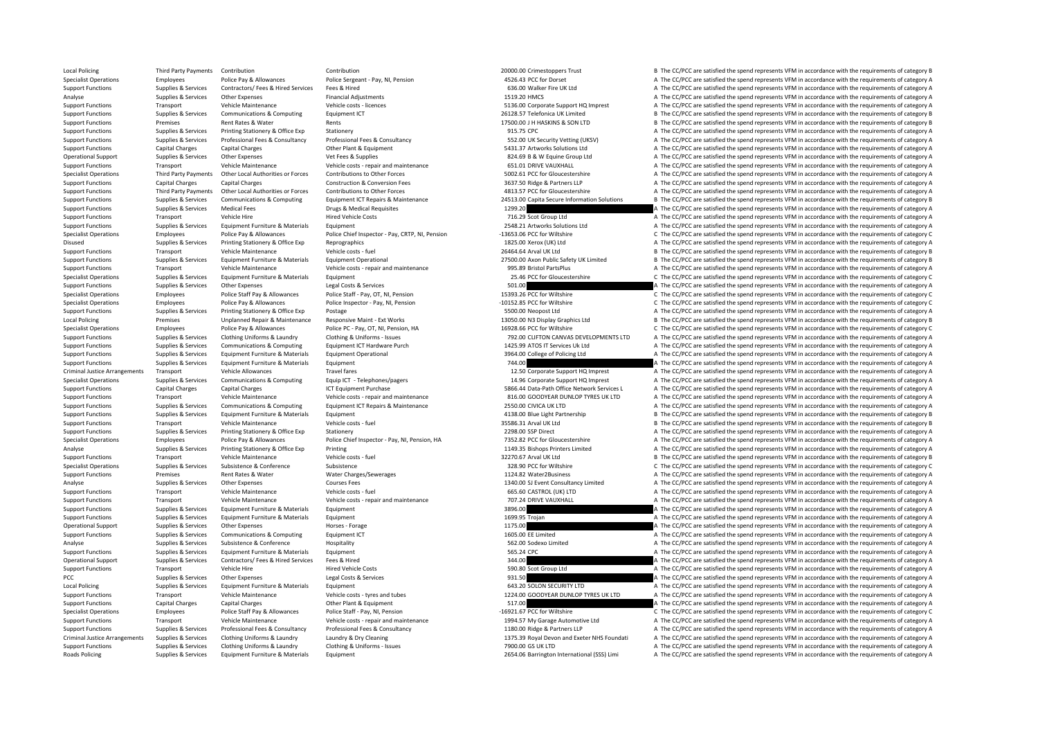Local Policing Third Party Payments Contribution 2000tribution 20000.00 Crimestoppers Trust B The CC/PCC are satisfied the spend represents VFM in accordance with the requirements of category B Specialist Operations Employees Police Pay & Allowances Police Sergeant - Pay, NI, Pension 4526.43 PCC for Dorset A The CC/PCC are satisfied the spend represents VFM in accordance with the requirements of category A Support Functions Supplies & Services Contractors/ Fees & Hired Services Fees & Hired Services Fees & Hired 636.00 Walker Fire UK Ltd A The CC/PCC are satisfied the spend represents VFM in accordance with the requirements Analyse Supplies & Services Other Expenses Financial Adjustments Financial Adjustments Financial Adjustments 1519.20 HMCS A The CC/PCC are satisfied the spend represents VFM in accordance with the requirements of category Transport Vehicle Maintenance Vehicle costs ‐ licences Support A The CC/PCC are satisfied the spend represents VFM in accordance with the requirements of category A Support Functions Supplies & Services Communications & Computing Equipment ICT 26128.57 Telefonica UK Limited B The CC/PCC are satisfied the spend represents VFM in accordance with the requirements of category B The Commun Support Functions Premises Rent Rates & Water Rents 17500.00 J H HASKINS & SON LTD <sup>B</sup> The CC/PCC are satisfied the spend represents VFM in accordance with the requirements of category B Support Functions Supplies & Services Printing Stationery & Office Exp Stationery 915.75 CPC 915.75 CPC A The CC/PCC are satisfied the spend represents VFM in accordance with the requirements of category A Support Functions Supplies & Services Professional Fees & Consultancy Professional Fees & Consultancy Professional Fees & Consultancy Professional Fees & Consultancy Professional Fees & Consultancy National Support SECAL S Support Functions Capital Charges Capital Charges Capital Charges Other Plant & Foutunent 5431.37 Artworks Solutions Ltd A The CC/PCC are satisfied the spend represents VFM in accordance with the requirements of category A Operational Support Supplies & Services Other Expenses Vet Fees & Supplies Vet Fees & Supplies Vet Fees & Supplies 824.69 B & W Equine Group Ltd A The CC/PCC are satisfied the spend represents VFM in accordance with the re Support Functions Transport Vehicle Maintenance Vehicle costs • repair and maintenance 651.01 DRIVE VALUXHALL A The CC/PCC are satisfied the spend represents VFM in accordance with the requirements of category A Specialist Operations Third Party Payments Other Local Authorities or Forces Contributions to Other Forces Contributions to Other Forces 5002.61 PCC for Gloucestershire A The CC/PCC are satisfied the spend represents VFM i Support Functions Capital Charges Capital Charges Construction & Conversion Fees 3637.50 Ridge & Partners LLP A The CC/PCC are satisfied the spend represents VFM in accordance with the requirements of category A Support Functions Third Party Payments Other Local Authorities or Forces Contributions to Other Forces contributions to Other Forces and the serve that the COC for Gloucestershire A The CC/PCC are satisfied the spend repre Support Functions Supplies & Services Communications & Computing Equipment ICT Repairs & Maintenance 24513.00 Capita Secure Information Solutions B The CC/PCC are satisfied the spend represents VFM in accordance with the r Support Functions Supplies & Services Medical Fees Drugs & Medical Requisites Drugs & Medical Requisites Drugs & Medical Requisites 1299.20 A The CC/PCC are satisfied the spend represents VFM in accordance with the require Support Functions Transport Vehicle Hire Hire Hired Vehicle Costs Hired Vehicle Costs 716.29 Scot Group Ltd A The CC/PCC are satisfied the spend represents VFM in accordance with the requirements of category A The Criteria Support Functions Supplies & Services Equipment Furniture & Materials Equipment Equipment 2548.21 Artworks Solutions Ltd A The CC/PCC are satisfied the spend represents VFM in accordance with the requirements of category A Specialist Operations Employees Employees Police Pay & Allowances Police Chief Inspector - Pay, CRTP, NI, Pension - 13653.06 PCC for Willshire C. The CC/PCC are satisfied the spend represents VFM in accordance with the req Printing Stationery & Office Exp Reprographics Category A The COPCC are satisfied the spend represents VFM in accordance with the requirements of category A The COPCC are satisfied the spend represents VFM in accordance wi Support Functions Transport Vehicle Maintenance Vehicle costs ‐ fuel 26464.64 Arval UK Ltd B The CC/PCC are satisfied the spend represents VFM in accordance with the requirements of category B Supplies Supplies & Services Equipment Furniture & Materials Equipment Operational Equipment Operational 27500.00 Axon Public Safety UK Limited B The CC/PCC are satisfied the spend represents VFM in accordance with the req Support Functions Transport Vehicle Maintenance Vehicle costs – repair and maintenance vehicle and maintenance<br>Support Functions Support The CC/PCC are satisfied the spend represents VFM in accordance with the requirements C The CC/PCC are satisfied the spend represents VFM in accordance with the requirements of category C Support Functions Supplies Services Other Expenses Services Services Services 501.00 A The CC/PCC are satisfied the spend represents VFM in accordance with the requirements of category A Specialist Operations Employees Police Staff Pay & Allowances Police Staff - Pay, OT. NI. Pension Police Cast Pay CT. NI. Pension and the second members of category C The CC/PCC are satisfied the spend represents VFM in ac Specialist Operations Employees Police Pay & Allowances Police Inspector - Pay, NI, Pension – 10152.85 PCC for Wiltshire C The CC/PCC are satisfied the spend represents VFM in accordance with the requirements of category C Postage **Principal Support Functions Supplies A The CC/PCC** are satisfied the spend represents VFM in accordance with the requirements of category A Local Policing Premises Unplanned Repair & Maintenance Responsive Maint - Ext Works 13050.00 N3 Display Graphics Ltd B The CC/PCC are satisfied the spend represents VFM in accordance with the requirements of category B Specialist Operations Employees Police Pay & Allowances Police PC - Pay, OT, NI, Pension, HA 16928.66 PCC for Wiltshire C The CC/PCC are satisfied the spend represents VFM in accordance with the requirements of category C Support Functions Supplies & Services Clothing Uniforms & Laundry Clothing & Uniforms - Issues Cupport Clothing A Uniforms - Issues 792.00 CLIFTON CANVAS DEVELOPMENTS LTD A The CC/PCC are satisfied the spend represents VFM A The CC/PCC are satisfied the spend represents VFM in accordance with the requirements of category A Supplies Supplies & Services Equipment Furniture & Materials Equipment Operational example and the section of the COPCC are satisfied the spend represents VFM in accordance with the requirements of category A<br>Support Funct Support Functions Supplies & Services Foulyment Furniture & Materials Foulyment 744.00 744.00 The CC/PCC are satisfied the spend represents VFM in accordance with the requirements of category A Criminal Justice Arrangements Transport Vehicle Allowances Travel fares Travel fares Travel fares 12.50 Corporate Support HQ Imprest A The CC/PCC are satisfied the spend represents VFM in accordance with the requirements o Supplies & Services Communications & Computing Equip (CT - Telephones/pagers 14.96 Corporate Support HQ Imprest A The CC/PCC are satisfied the spend represents VFM in accordance with the requirements of category A Support Functions Capital Charges Capital Charges Capital Charges ICT Equipment Purchase ICT Equipment Purchase Support Character Support A The CC/PCC are satisfied the spend represents VFM in accordance with the requireme Support Functions Transport Vehicle Maintenance Vehicle costs ‐ repair and maintenance 816.00 GOODYEAR DUNLOP TYRES UK LTD A The CC/PCC are satisfied the spend represents VFM in accordance with the requirements of category Support Functions Supplies & Services Communications & Computing Equipment ICT Repairs & Maintenance 2550.00 CIVICA UK LTD A The CC/PCC are satisfied the spend represents VFM in accordance with the requirements of category Support Functions Supplies & Services Equipment Eurniture & Materials Equipment Equipment Equipment Equipment Anterials Equipment and the service of the spend represents VFM in accordance with the requirements of category Support Support Vehicle Maintenance Vehicle costs - fuel Support Vehicle costs - fuel 35586.31 Arval UK Ltd B The CC/PCC are satisfied the spend represents VFM in accordance with the requirements of category B The CONCE Ar Support Functions Supplies & Services Printing Stationery & Office Exp Stationery and Stationery and Stationery 2298.00 SSP Direct A The CC/PCC are satisfied the spend represents VFM in accordance with the requirements of Specialist Operations Employees Police Pay & Allowances Police Chief Inspector - Pay, NI, Pension, HA 7352.82 PCC for Gloucestershire A The CC/PCC are satisfied the spend represents VFM in accordance with the requirements Analyse Supplies & Services Printing Stationery & Office Exp Printing Printing Printing 1149.35 Bishops Printers Limited A The CC/PCC are satisfied the spend represents VFM in accordance with the requirements of category A Transport Vehicle Maintenance Vehicle costs ‐ fuel 32270.67 Arval UK Ltd B The CC/PCC are satisfied the spend represents VFM in accordance with the requirements of category B Specialist Operations Supplies & Services Subsistence Subsistence Subsistence Subsistence Subsistence Subsistence Subsistence C The CC for Wiltshire C The CC/PCC are satisfied the spend represents VFM in accordance with th Support Functions Premises Rent Rates & Water Water Charges/Sewerages 2001 1124.82 Water 2Business A The CC/PCC are satisfied the spend represents VFM in accordance with the requirements of category A The Crime and the req Supplies Services Other Expenses Courses Feuros Fees Courses Fees and Consultance Initial A The CC/PCC are satisfied the spend represents VFM in accordance with the requirements of category A The CC/PCC are satisfied the s Support Functions Transport Vehicle Maintenance Vehicle costs ‐ fuel expend the Vehicle costs ‐ fuel 665.60 CASTROL (UK) LTD A The CC/PCC are satisfied the spend represents VFM in accordance with the requirements of catego Support Functions Transport Vehicle Maintenance Vehicle costs ‐ repair and maintenance 707.24 DRIVE VAUXHALL A The CC/PCC are satisfied the spend represents VFM in accordance with the requirements of category A Support Functions Supplies & Services Equipment Eurniture & Materials Equipment 3896.00 3896.00 A The CC/PCC are satisfied the spend represents VFM in accordance with the requirements of category A Support Functions Supplies & Services Foulyment Furniture & Materials Foulyment 1699.95 Troian 1699.95 Trojan A The CC/PCC are satisfied the spend represents VFM in accordance with the requirements of category A Operational Support Supplies & Services Other Expenses Horses - Forage Horses - Forage 1175.00 A The CC/PCC are satisfied the spend represents VFM in accordance with the requirements of category A Support Functions Supplies & Services Communications & Computing Faulthouse Equipment ICT 1605.00 EE Limited 1605.00 EE Limited A The CC/PCC are satisfied the spend represents VFM in accordance with the requirements of cat Analyse Supplies & Services Subsistence Subsistence Hospitality Hospitality and the Service Hospitality and the Service Hospitality Subsistence A CONFERENCE Subsistence A CONFERENCE A The CC/PCC are satisfied the spend rep Support Functions Supplies & Services Foujoment Furniture & Materials Foujoment 565.24 CPC 565.24 CPC 565.24 CPC A The CC/PCC are satisfied the spend represents VFM in accordance with the requirements of category A Operational Support Supplies & Services Contractors/ Fees & Hired Services Fees & Hired 344.00 344.00 A The CC/PCC are satisfied the spend represents VFM in accordance with the requirements of category A Support Functions Transport Vehicle Hire Hired Vehicle Costs 590.80 Scot Group Ltd A The CC/PCC are satisfied the spend represents VFM in accordance with the requirements of category A PCC Supplies & Services Other Expenses Legal Costs & Services 931.50 A The CC/PCC are satisfied the spend represents VFM in accordance with the requirements of category A Local Policing Supplies & Services Equipment Furniture & Materials Equipment Equipment 643.20 SOLON SECURITY LTD A The CC/PCC are satisfied the spend represents VFM in accordance with the requirements of category A Support Functions Transport Vehicle Maintenance Vehicle costs – tyres and tubes 1224.00 GOODYEAR DUNLOP TYRES UK LTD A The CC/PCC are satisfied the spend represents VFM in accordance with the requirements of category A The Support Functions Capital Charges Capital Charges Capital Charges Capital Charges Other Plant & Equipment Other Plant & Equipment 517.00 517.00 A The CC/PCC are satisfied the spend represents VFM in accordance with the req Specialist Operations Employees Police Staff Pay & Allowances Police Staff - Pay, NI, Pension – 16921.67 PCC for Wiltshire C The CC/PCC are satisfied the spend represents VFM in accordance with the requirements of category Support Functions Transport Vehicle Maintenance Vehicle costs – repair and maintenance 1994.57 My Garage Automotive Ltd A The CC/PCC are satisfied the spend represents VFM in accordance with the requirements of category A A The CC/PCC are satisfied the spend represents VFM in accordance with the requirements of category A Criminal Justice Arrangements Sunnlies & Services Clothing Uniforms & Laundry Laundry & Drv Cleaning Criminal Devon and Exeter NHS Foundati A The CC/PCC are satisfied the spend represents VEM in accordance with the require Support Functions Supplies & Services Clothing Uniforms & Laundry Clothing & Uniforms - Issues 7900.00 GS UK LTD A The CC/PCC are satisfied the spend represents VFM in accordance with the requirements of category A Roads Policing Supplies & Services Equipment Eurniture & Materials Equipment Equipment 2654.06 Barrington International (SSS) Limi A The CC/PCC are satisfied the spend represents VFM in accordance with the requirements of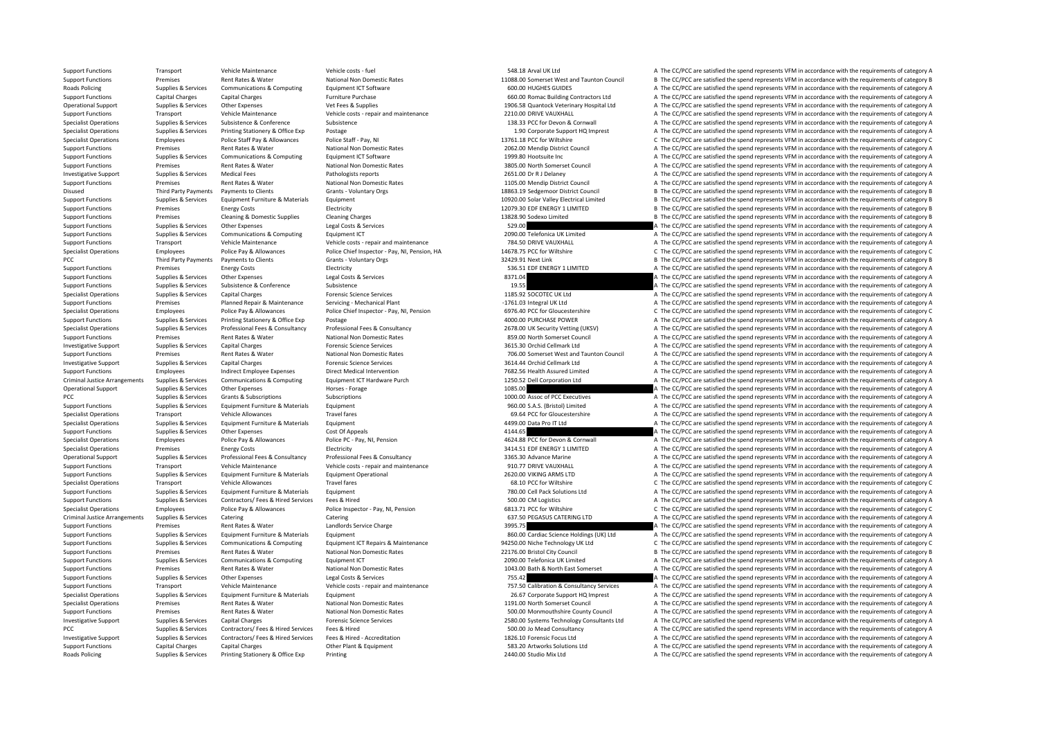Roads Policing Supplies & Services Printing Stationery & Office Exp Printing 2440.00 Studio Mix Ltd A The CC/PCC are satisfied the spend represents VFM in accordance with the requirements of category A

Support Functions Transport Vehicle Maintenance Vehicle costs – fuel Vehicle Costs – fuel SAB. Arval UK Ltd A The CC/PCC are satisfied the spend represents VFM in accordance with the requirements of category A Support Functions Premises Rent Rates & Water National Non Domestic Rates 11088.00 Somerset West and Taunton Council B The CC/PCC are satisfied the spend represents VFM in accordance with the requirements of category B Roads Policing Supplies & Services Communications & Computing Equipment ICT Software Equipment ICT Software 600.00 HUGHES GUIDES A The CC/PCC are satisfied the spend represents VFM in accordance with the requirements of ca Support Functions Capital Charges Capital Charges Marges Furniture Purchase Furniture Purchase 660.00 Romac Building Contractors Ltd A The CC/PCC are satisfied the spend represents VFM in accordance with the requirements o Operational Support Support Support Support Support Support Support Support Support Support Support Support Support Support Support Support Support Support Support Support Support Support Support Support Support Support Su Support Functions Transport Vehicle Maintenance Vehicle costs ‐ repair and maintenance 2210.00 DRIVE VAUXHALL A The CC/PCC are satisfied the spend represents VFM in accordance with the requirements of category A Specialist Operations Supplies & Services Subsistence Subsistence Subsistence Subsistence Subsistence Subsistence Subsistence Subsistence Subsistence Subsistence Subsistence Subsistence Subsistence Subsistence Subsistence Specialist Operations Supplies & Services Printing Stationery & Office Exp Postage 1.90 Corporate Support HQ Imprest A The CC/PCC are satisfied the spend represents VFM in accordance with the requirements of category A Specialist Operations Employees Police Staff Pay & Allowances Police Staff - Pay, NI 13761.18 PCC for Wiltshire C The CC/PCC are satisfied the spend represents VFM in accordance with the requirements of category C Support Functions Premises Rent Rates & Water National Non Domestic Rates 2062.00 Mendin District Council A The CC/PCC are satisfied the spend represents VFM in accordance with the requirements of category A Support Functions Supplies & Services Communications & Computing Equipment ICT Software 1999.80 Hootsuite Inc 1999.80 Hootsuite Inc A The CC/PCC are satisfied the spend represents VFM in accordance with the requirements of Support Functions Premises Rent Rates & Water National Non Domestic Rates 3805.00 North Somerset Council A The CC/PCC are satisfied the spend represents VFM in accordance with the requirements of category A Investigative Support Support Support Support Support Medical Fees Pathologists reports Pathologists reports 2651.00 Dr R J Delaney A The CC/PCC are satisfied the spend represents VFM in accordance with the requirements of Support Functions Premises Rent Rates & Water National Non Domestic Rates 1105.00 Mendin District Council A The CC/PCC are satisfied the spend represents VFM in accordance with the requirements of category A Disused Third Party Payments Payments to Clients Grants - Voluntary Orgs Grants - Voluntary Orgs 18863.19 Sedgemoor District Council B The CC/PCC are satisfied the spend represents VFM in accordance with the requirements o Support Functions Supplies & Services Equipment Furniture & Materials Equipment 10920.00 Solar Valley Electrical Limited B The CC/PCC are satisfied the spend represents VFM in accordance with the requirements of category B Support Functions Premises Energy Costs Electricity Electricity and the equirements of category B The CC/PCC are satisfied the spend represents VFM in accordance with the requirements of category B Support Functions Premises Cleaning & Domestic Supplies Cleaning Charges Cleaning Charges 13828.90 Sodexo Limited B The CC/PCC are satisfied the spend represents VFM in accordance with the requirements of category B Support Functions Supplies & Services Other Expenses Legal Costs & Services Services 529.00 A The CC/PCC are satisfied the spend represents VFM in accordance with the requirements of category A Support Functions Supplies & Services Communications & Computing Equipment ICT Equipment ICT 2090.00 Telefonica UK Limited A The CC/PCC are satisfied the spend represents VFM in accordance with the requirements of category Transport Vehicle Maintenance Vehicle costs ‐ repair and maintenance 784.50 DRIVE VAUXHALL A The CC/PCC are satisfied the spend represents VFM in accordance with the requirements of category A Specialist Operations Employees Police Pay & Allowances Police Chief Inspector - Pay, NI, Pension, HA 14678.75 PCC for Wiltshire C The CC/PCC are satisfied the spend represents VFM in accordance with the requirements of ca PCC Third Party Payments Payments to Clients Grants - Voluntary Orgs Samples and the section of the CC/PCC are satisfied the spend represents VFM in accordance with the requirements of category B Grants - Voluntary Orgs Sa Support Functions Premises Premises Energy Costs Support Electricity Support Electricity 536.51 EDF ENERGY 1 LIMITED A The CC/PCC are satisfied the spend represents VFM in accordance with the requirements of category A The Support Functions Supplies & Services Other Expenses Legal Costs & Services 8371.04 A The CC/PCC are satisfied the spend represents VFM in accordance with the requirements of category A Support Functions Supplies & Services Subsistence Subsistence Subsistence Subsistence Subsistence Subsistence Subsistence and Subsistence Subsistence Subsistence Subsistence Subsistence Subsistence Subsistence Subsistence Specialist Operations Supplies & Services Capital Charges Capital Charges Forensic Science Services Forensic Science Services 1185.92 SOCOTEC UK Ltd A The CC/PCC are satisfied the spend represents VFM in accordance with th Support Functions Premises Planned Repair & Maintenance Servicing - Mechanical Plant -1761.03 Integral UK Ltd A The CC/PCC are satisfied the spend represents VFM in accordance with the requirements of category A The Compan C The CC/PCC are satisfied the spend represents VFM in accordance with the requirements of category C Support Functions Supplies & Services Printing Stationery & Office Exp Postage a manual protection and the company and the CC/PCC are satisfied the spend represents VFM in accordance with the requirements of category A Superialist Operations Supplier & Services Professional Fees & Consultancy Professional Fees & Consultancy Professional Fees & Consultancy Professional Fees & Consultancy 2678.00 UK Security Verting (UKSV) A The CC/PCC are Support Functions Premises Rent Rates & Water Mational Non Domestic Rates and a Support Rent Rates Rent Rates Rent Rates Rent Rates Rent Rates Rent Rates Rent Rates Rent Rates Rent Rates Rent Rates Rent Rates Rent Rates Re A The CC/PCC are satisfied the spend represents VFM in accordance with the requirements of category A Support Functions Premises Rent Rates & Water National Non Domestic Rates 706.00 Somerset West and Taunton Council A The CC/PCC are satisfied the spend represents VFM in accordance with the requirements of category A The C Investigative Support Supplies & Services Capital Charges Services Forensic Science Services 3614.44 Orchid Cellmark Ltd A The CC/PCC are satisfied the spend represents VFM in accordance with the requirements of category A Support Functions Employees Employees Indirect Employee Expenses Direct Medical Intervention 101 1250.56 Health Assured Limited A The CC/PCC are satisfied the spend represents VFM in accordance with the requirements of cat Criminal Justice Arrangements Supplies & Services Communications & Computing Equipment ICT Hardware Purch 1250.52 Dell Corporation Ltd AThe CC/PCC are satisfied the spend represents VFM in accordance with the requirements Operational Support Supplies & Services Other Expenses Horses - Forage Horses - Forage Horses - Forage 1085.00 A The CC/PCC are satisfied the spend represents VFM in accordance with the requirements of category A The CC/PC PCC Supplies & Services Grants & Subscriptions Subscriptions Subscriptions Subscriptions Subscriptions Subscriptions and represents a The CC/PCC are satisfied the spend represents VFM in accordance with the requirements of Support Functions Supplies & Services Equipment Eurniture & Materials Equipment Equipment Equipment Equipment and the Support of the Support of the Support of the Support of the Support of the Support of the Support of the Specialist Operations Transport Vehicle Allowances Travel fares Travel fares Travel fares Travel fares a COLOGO CONTENT CONTENT A The CC/PCC are satisfied the spend represents VFM in accordance with the requirements of cat Specialist Operations of category A499.00 Data Pro IT Ltd A The CC/PCC are satisfied the spend represents VFM in accordance with the requirements of category A The CC/PCC are satisfied the spend represents VFM in accordanc Support Functions Supplies & Services Other Expenses Cost Of Appeals Cost Of Appeals A The CC/PCC are satisfied the spend represents VFM in accordance with the requirements of category A Specialist Operations Employees Police Pay & Allowances Police PC - Pay, NI, Pension 4624.88 PCC for Devon & Cornwall A The CC/PCC are satisfied the spend represents VFM in accordance with the requirements of category A Specialist Operations Premises Premises Premises Energy Costs Electricity Electricity Electricity and Electricity and Electricity and Electricity and Supplies A The CC/PCC are satisfied the spend represents VFM in accordan A The CC/PCC are satisfied the spend represents VFM in accordance with the requirements of category A Support Functions Transport Vehicle Maintenance Vehicle costs ‐ repair and maintenance 910.77 DRIVE VAUXHALL A The CC/PCC are satisfied the spend represents VFM in accordance with the requirements of category A Support Functions Supplies & Services Equipment Furniture & Materials Equipment Operational equipment Operational 2620.00 VIKING ARMS LTD A The CC/PCC are satisfied the spend represents VFM in accordance with the requireme Specialist Operations Transport Vehicle Allowances Travel fares and the comparison of the Spend represents VFM in accordance with the requirements of category C The CC/PCC are satisfied the spend represents VFM in accordan Support Functions Supplies & Services Equipment Furniture & Materials Equipment Equipment 780.00 Cell Pack Solutions Ltd A The CC/PCC are satisfied the spend represents VFM in accordance with the requirements of category A Support Functions Supplies & Services Contractors/ Fees & Hired Services Fees & Hired Services Fees & Hired 500.00 CM Logistics 500.00 CM Logistics A The CC/PCC are satisfied the spend represents VFM in accordance with the Specialist Operations Employees Police Pay & Allowances Police Inspector - Pay, NI, Pension 6813.71 PCC for Wiltshire C The CC/PCC are satisfied the spend represents VFM in accordance with the requirements of category C C Criminal Justice Arrangements Supplies & Services Catering Catering Catering Catering Catering Catering Category A The CC/PCC are satisfied the spend represents VFM in accordance with the requirements of category A Support Functions Premises Rent Rates & Water Landlords Service Charge Landlords Service Charge 3995.75 A The CC/PCC are satisfied the spend represents VFM in accordance with the requirements of category A Support Functions Supplies & Services Equipment Furniture & Materials Equipment Equipment Equipment Equipment Equipment Equipment and the Section and the Section and the spend represents VFM in accordance with the requirem Support Functions Supplies & Services Communications & Computing Equipment ICT Repairs & Maintenance 94250.00 Niche Technology UK Ltd C The CC/PCC are satisfied the spend represents VFM in accordance with the requirements Support Functions Premises Rent Rates & Water National Non Domestic Rates 22176.00 Bristol City Council B The CC/PCC are satisfied the spend represents VFM in accordance with the requirements of category B Support Functions Supplies & Services Communications & Computing Equipment ICT 2010 A The CC/PCC are satisfied the spend represents VFM in accordance with the requirements of category A Support Functions Premises Rent Rates & Water National Non Domestic Rates 1043.00 Bath & North East Somerset A The CC/PCC are satisfied the spend represents VFM in accordance with the requirements of category A Support Functions Supplies & Services Other Expenses Legal Costs & Services 2001 A The CC/PCC are satisfied the spend represents VFM in accordance with the requirements of category A Support Functions Transport Vehicle Maintenance Vehicle costs - repair and maintenance Vehicle costs repair and maintenance Vehicle costs - repair and maintenance 757.50 Calibration & Consultancy Services A The CC/PCC are Specialist Operations Supplies & Services Equipment Furniture & Materials Equipment Equipment 26.67 Corporate Support HQ Imprest A The CC/PCC are satisfied the spend represents VFM in accordance with the requirements of ca Specialist Operations Premises Rent Rates & Water National Non Domestic Rates 1191.00 North Somerset Council A The CC/PCC are satisfied the spend represents VFM in accordance with the requirements of category A Support Functions Premises Rent Rates & Water National Non Domestic Rates States 500.00 Monmouthshire County Council A The CC/PCC are satisfied the spend represents VFM in accordance with the requirements of category A Investigative Support Support Supplies & Services Capital Charges Capital Charges Alteral Charges Forensic Science Services Forensic Science Services and Devices Contractors/Fees & Hired Services Fees & Hired Services Fees A The CC/PCC are satisfied the spend represents VFM in accordance with the requirements of category A Investigative Sunnort Sunnies & Services Contractors/ Fees & Hired Services Fees & Hired - Accreditation and the Sunnies Contractors/ Fees & Hired - Accreditation 1826.10 Forensic Focus Ltd Accreditation A The CC/PCC are s Support Functions Capital Charges Capital Charges Capital Charges Other Plant & Equipment Other Plant & Equipment 583.20 Artworks Solutions Ltd A The CC/PCC are satisfied the spend represents VFM in accordance with the req